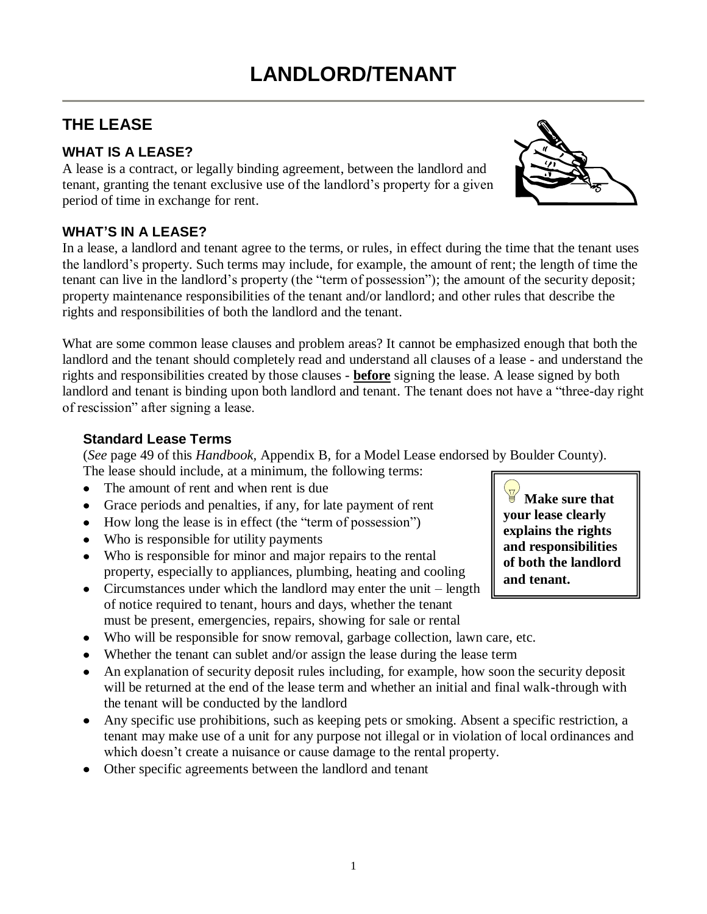# **THE LEASE**

# **WHAT IS A LEASE?**

A lease is a contract, or legally binding agreement, between the landlord and tenant, granting the tenant exclusive use of the landlord's property for a given period of time in exchange for rent.

# **WHAT'S IN A LEASE?**

In a lease, a landlord and tenant agree to the terms, or rules, in effect during the time that the tenant uses the landlord's property. Such terms may include, for example, the amount of rent; the length of time the tenant can live in the landlord's property (the "term of possession"); the amount of the security deposit; property maintenance responsibilities of the tenant and/or landlord; and other rules that describe the rights and responsibilities of both the landlord and the tenant.

What are some common lease clauses and problem areas? It cannot be emphasized enough that both the landlord and the tenant should completely read and understand all clauses of a lease - and understand the rights and responsibilities created by those clauses - **before** signing the lease. A lease signed by both landlord and tenant is binding upon both landlord and tenant. The tenant does not have a "three-day right of rescission" after signing a lease.

#### **Standard Lease Terms**

(*See* page 49 of this *Handbook,* Appendix B, for a Model Lease endorsed by Boulder County). The lease should include, at a minimum, the following terms:

- The amount of rent and when rent is due
- Grace periods and penalties, if any, for late payment of rent
- How long the lease is in effect (the "term of possession")
- Who is responsible for utility payments
- Who is responsible for minor and major repairs to the rental property, especially to appliances, plumbing, heating and cooling
- Circumstances under which the landlord may enter the unit  $-$  length of notice required to tenant, hours and days, whether the tenant must be present, emergencies, repairs, showing for sale or rental
- Who will be responsible for snow removal, garbage collection, lawn care, etc.
- Whether the tenant can sublet and/or assign the lease during the lease term
- An explanation of security deposit rules including, for example, how soon the security deposit will be returned at the end of the lease term and whether an initial and final walk-through with the tenant will be conducted by the landlord
- Any specific use prohibitions, such as keeping pets or smoking. Absent a specific restriction, a tenant may make use of a unit for any purpose not illegal or in violation of local ordinances and which doesn't create a nuisance or cause damage to the rental property.
- Other specific agreements between the landlord and tenant

**Make sure that your lease clearly explains the rights and responsibilities of both the landlord and tenant.** 

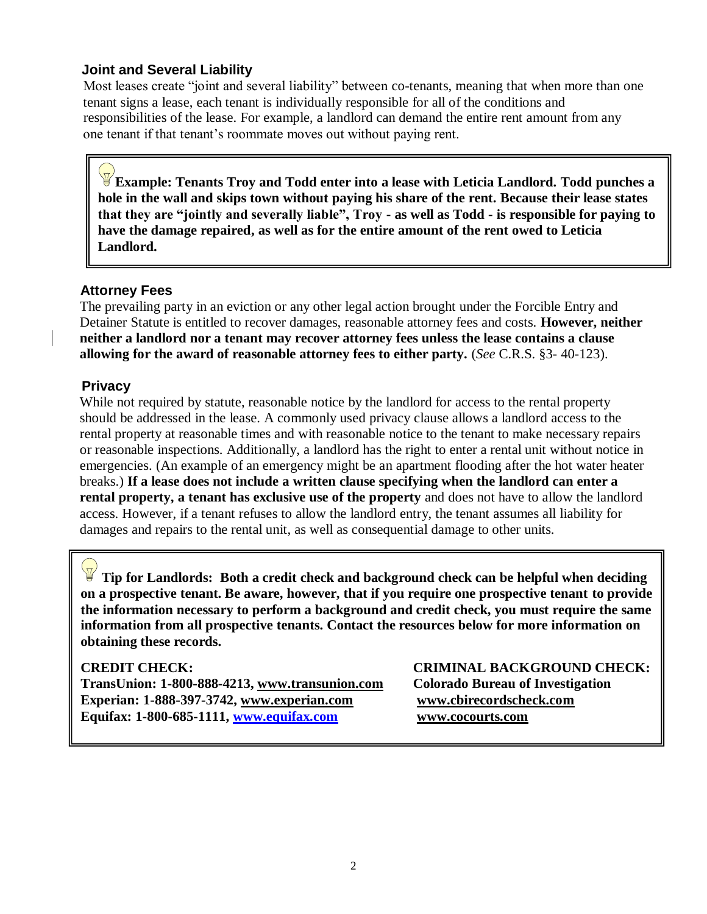#### **Joint and Several Liability**

 Most leases create "joint and several liability" between co-tenants, meaning that when more than one tenant signs a lease, each tenant is individually responsible for all of the conditions and responsibilities of the lease. For example, a landlord can demand the entire rent amount from any one tenant if that tenant's roommate moves out without paying rent.

**Example: Tenants Troy and Todd enter into a lease with Leticia Landlord. Todd punches a hole in the wall and skips town without paying his share of the rent. Because their lease states that they are "jointly and severally liable", Troy - as well as Todd - is responsible for paying to have the damage repaired, as well as for the entire amount of the rent owed to Leticia Landlord.**

#### **Attorney Fees**

 The prevailing party in an eviction or any other legal action brought under the Forcible Entry and Detainer Statute is entitled to recover damages, reasonable attorney fees and costs. **However, neither neither a landlord nor a tenant may recover attorney fees unless the lease contains a clause allowing for the award of reasonable attorney fees to either party.** (*See* C.R.S. §3- 40-123).

#### **Privacy**

 While not required by statute, reasonable notice by the landlord for access to the rental property should be addressed in the lease. A commonly used privacy clause allows a landlord access to the rental property at reasonable times and with reasonable notice to the tenant to make necessary repairs or reasonable inspections. Additionally, a landlord has the right to enter a rental unit without notice in emergencies. (An example of an emergency might be an apartment flooding after the hot water heater breaks.) **If a lease does not include a written clause specifying when the landlord can enter a rental property, a tenant has exclusive use of the property** and does not have to allow the landlord access. However, if a tenant refuses to allow the landlord entry, the tenant assumes all liability for damages and repairs to the rental unit, as well as consequential damage to other units.

**Tip for Landlords: Both a credit check and background check can be helpful when deciding on a prospective tenant. Be aware, however, that if you require one prospective tenant to provide the information necessary to perform a background and credit check, you must require the same information from all prospective tenants. Contact the resources below for more information on obtaining these records.** 

**TransUnion: 1-800-888-4213, [www.transunion.com](http://www.transunion.com/) Colorado Bureau of Investigation Experian: 1-888-397-3742, [www.experian.com](http://www.experian.com/) www.cbirecordscheck.com Equifax: 1-800-685-1111, [www.equifax.com](http://www.equifax.com/) www.cocourts.com**

**CREDIT CHECK: CRIMINAL BACKGROUND CHECK:**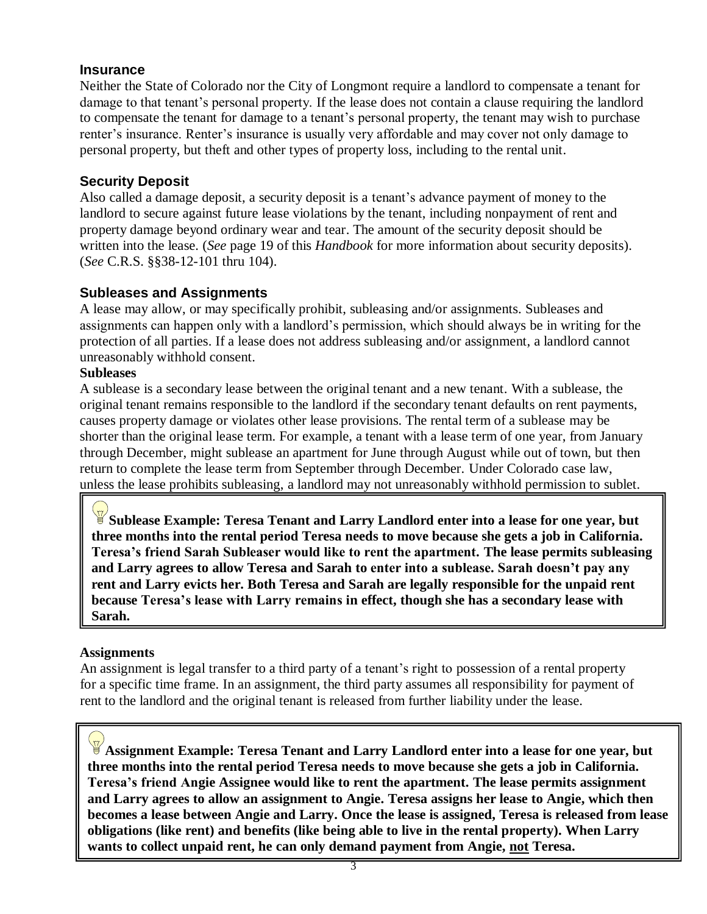#### **Insurance**

Neither the State of Colorado nor the City of Longmont require a landlord to compensate a tenant for damage to that tenant's personal property. If the lease does not contain a clause requiring the landlord to compensate the tenant for damage to a tenant's personal property, the tenant may wish to purchase renter's insurance. Renter's insurance is usually very affordable and may cover not only damage to personal property, but theft and other types of property loss, including to the rental unit.

### **Security Deposit**

Also called a damage deposit, a security deposit is a tenant's advance payment of money to the landlord to secure against future lease violations by the tenant, including nonpayment of rent and property damage beyond ordinary wear and tear. The amount of the security deposit should be written into the lease. (*See* page 19 of this *Handbook* for more information about security deposits). (*See* C.R.S. §§38-12-101 thru 104).

#### **Subleases and Assignments**

A lease may allow, or may specifically prohibit, subleasing and/or assignments. Subleases and assignments can happen only with a landlord's permission, which should always be in writing for the protection of all parties. If a lease does not address subleasing and/or assignment, a landlord cannot unreasonably withhold consent.

#### **Subleases**

A sublease is a secondary lease between the original tenant and a new tenant. With a sublease, the original tenant remains responsible to the landlord if the secondary tenant defaults on rent payments, causes property damage or violates other lease provisions. The rental term of a sublease may be shorter than the original lease term. For example, a tenant with a lease term of one year, from January through December, might sublease an apartment for June through August while out of town, but then return to complete the lease term from September through December. Under Colorado case law, unless the lease prohibits subleasing, a landlord may not unreasonably withhold permission to sublet.

**Sublease Example: Teresa Tenant and Larry Landlord enter into a lease for one year, but three months into the rental period Teresa needs to move because she gets a job in California. Teresa"s friend Sarah Subleaser would like to rent the apartment. The lease permits subleasing and Larry agrees to allow Teresa and Sarah to enter into a sublease. Sarah doesn"t pay any rent and Larry evicts her. Both Teresa and Sarah are legally responsible for the unpaid rent because Teresa"s lease with Larry remains in effect, though she has a secondary lease with Sarah.**

#### **Assignments**

An assignment is legal transfer to a third party of a tenant's right to possession of a rental property for a specific time frame. In an assignment, the third party assumes all responsibility for payment of rent to the landlord and the original tenant is released from further liability under the lease.

**Assignment Example: Teresa Tenant and Larry Landlord enter into a lease for one year, but three months into the rental period Teresa needs to move because she gets a job in California. Teresa"s friend Angie Assignee would like to rent the apartment. The lease permits assignment and Larry agrees to allow an assignment to Angie. Teresa assigns her lease to Angie, which then becomes a lease between Angie and Larry. Once the lease is assigned, Teresa is released from lease obligations (like rent) and benefits (like being able to live in the rental property). When Larry wants to collect unpaid rent, he can only demand payment from Angie, not Teresa.**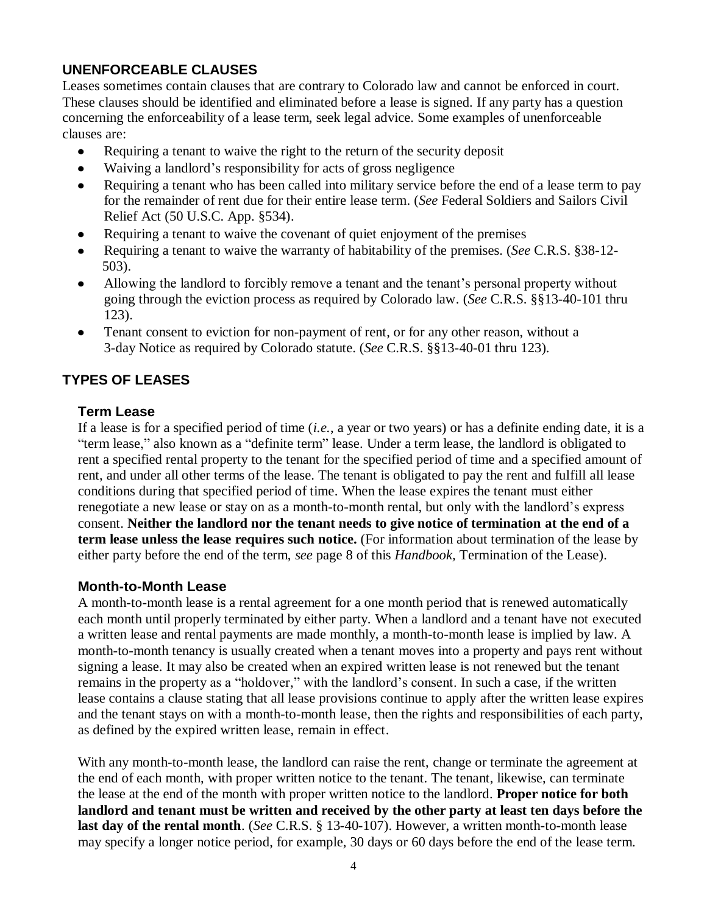# **UNENFORCEABLE CLAUSES**

Leases sometimes contain clauses that are contrary to Colorado law and cannot be enforced in court. These clauses should be identified and eliminated before a lease is signed. If any party has a question concerning the enforceability of a lease term, seek legal advice. Some examples of unenforceable clauses are:

- $\bullet$ Requiring a tenant to waive the right to the return of the security deposit
- Waiving a landlord's responsibility for acts of gross negligence  $\bullet$
- Requiring a tenant who has been called into military service before the end of a lease term to pay  $\bullet$ for the remainder of rent due for their entire lease term. (*See* Federal Soldiers and Sailors Civil Relief Act (50 U.S.C. App. §534).
- Requiring a tenant to waive the covenant of quiet enjoyment of the premises
- Requiring a tenant to waive the warranty of habitability of the premises. (*See* C.R.S. §38-12- 503).
- Allowing the landlord to forcibly remove a tenant and the tenant's personal property without going through the eviction process as required by Colorado law. (*See* C.R.S. §§13-40-101 thru 123).
- Tenant consent to eviction for non-payment of rent, or for any other reason, without a  $\bullet$ 3-day Notice as required by Colorado statute. (*See* C.R.S. §§13-40-01 thru 123).

# **TYPES OF LEASES**

#### **Term Lease**

If a lease is for a specified period of time (*i.e.*, a year or two years) or has a definite ending date, it is a "term lease," also known as a "definite term" lease. Under a term lease, the landlord is obligated to rent a specified rental property to the tenant for the specified period of time and a specified amount of rent, and under all other terms of the lease. The tenant is obligated to pay the rent and fulfill all lease conditions during that specified period of time. When the lease expires the tenant must either renegotiate a new lease or stay on as a month-to-month rental, but only with the landlord's express consent. **Neither the landlord nor the tenant needs to give notice of termination at the end of a term lease unless the lease requires such notice.** (For information about termination of the lease by either party before the end of the term, *see* page 8 of this *Handbook,* Termination of the Lease).

#### **Month-to-Month Lease**

A month-to-month lease is a rental agreement for a one month period that is renewed automatically each month until properly terminated by either party. When a landlord and a tenant have not executed a written lease and rental payments are made monthly, a month-to-month lease is implied by law. A month-to-month tenancy is usually created when a tenant moves into a property and pays rent without signing a lease. It may also be created when an expired written lease is not renewed but the tenant remains in the property as a "holdover," with the landlord's consent. In such a case, if the written lease contains a clause stating that all lease provisions continue to apply after the written lease expires and the tenant stays on with a month-to-month lease, then the rights and responsibilities of each party, as defined by the expired written lease, remain in effect.

With any month-to-month lease, the landlord can raise the rent, change or terminate the agreement at the end of each month, with proper written notice to the tenant. The tenant, likewise, can terminate the lease at the end of the month with proper written notice to the landlord. **Proper notice for both landlord and tenant must be written and received by the other party at least ten days before the last day of the rental month**. (*See* C.R.S. § 13-40-107). However, a written month-to-month lease may specify a longer notice period, for example, 30 days or 60 days before the end of the lease term.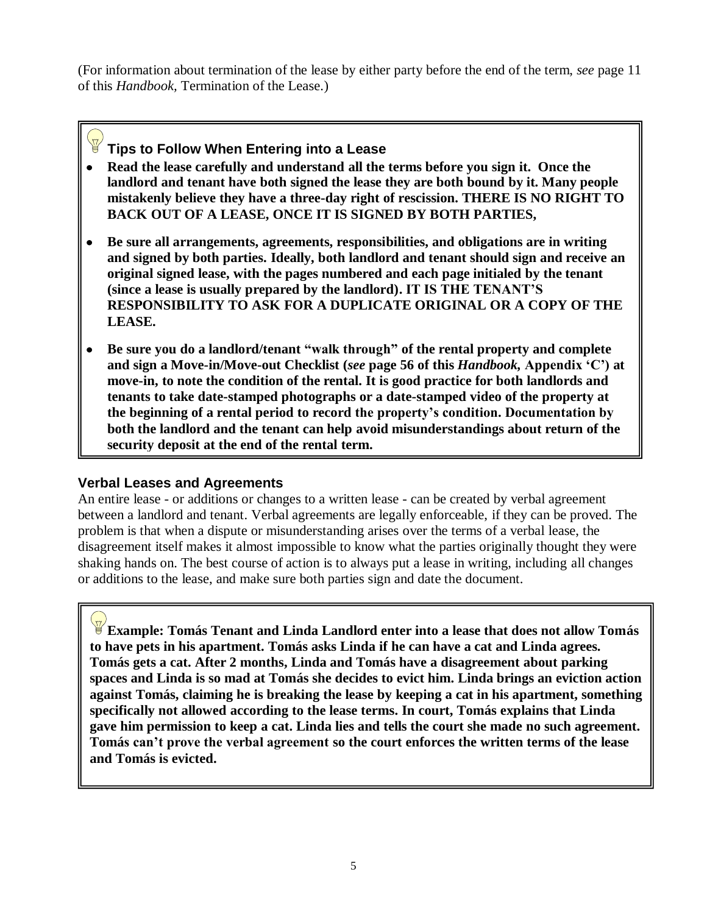(For information about termination of the lease by either party before the end of the term, *see* page 11 of this *Handbook,* Termination of the Lease.)

# **Tips to Follow When Entering into a Lease**

- **Read the lease carefully and understand all the terms before you sign it. Once the landlord and tenant have both signed the lease they are both bound by it. Many people mistakenly believe they have a three-day right of rescission. THERE IS NO RIGHT TO BACK OUT OF A LEASE, ONCE IT IS SIGNED BY BOTH PARTIES,**
- **Be sure all arrangements, agreements, responsibilities, and obligations are in writing and signed by both parties. Ideally, both landlord and tenant should sign and receive an original signed lease, with the pages numbered and each page initialed by the tenant (since a lease is usually prepared by the landlord). IT IS THE TENANT"S RESPONSIBILITY TO ASK FOR A DUPLICATE ORIGINAL OR A COPY OF THE LEASE.**
- **Be sure you do a landlord/tenant "walk through" of the rental property and complete**   $\bullet$ **and sign a Move-in/Move-out Checklist (***see* **page 56 of this** *Handbook,* **Appendix "C") at move-in, to note the condition of the rental. It is good practice for both landlords and tenants to take date-stamped photographs or a date-stamped video of the property at the beginning of a rental period to record the property"s condition. Documentation by both the landlord and the tenant can help avoid misunderstandings about return of the security deposit at the end of the rental term.**

# **Verbal Leases and Agreements**

An entire lease - or additions or changes to a written lease - can be created by verbal agreement between a landlord and tenant. Verbal agreements are legally enforceable, if they can be proved. The problem is that when a dispute or misunderstanding arises over the terms of a verbal lease, the disagreement itself makes it almost impossible to know what the parties originally thought they were shaking hands on. The best course of action is to always put a lease in writing, including all changes or additions to the lease, and make sure both parties sign and date the document.

**Example: Tomás Tenant and Linda Landlord enter into a lease that does not allow Tomás to have pets in his apartment. Tomás asks Linda if he can have a cat and Linda agrees. Tomás gets a cat. After 2 months, Linda and Tomás have a disagreement about parking spaces and Linda is so mad at Tomás she decides to evict him. Linda brings an eviction action against Tomás, claiming he is breaking the lease by keeping a cat in his apartment, something specifically not allowed according to the lease terms. In court, Tomás explains that Linda gave him permission to keep a cat. Linda lies and tells the court she made no such agreement. Tomás can"t prove the verbal agreement so the court enforces the written terms of the lease and Tomás is evicted.**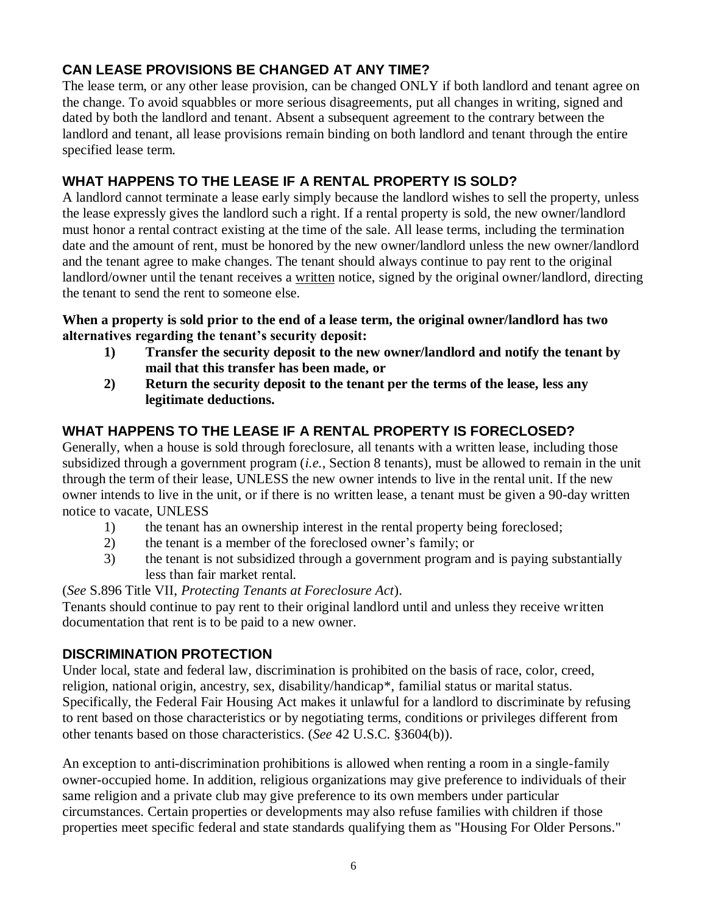# **CAN LEASE PROVISIONS BE CHANGED AT ANY TIME?**

The lease term, or any other lease provision, can be changed ONLY if both landlord and tenant agree on the change. To avoid squabbles or more serious disagreements, put all changes in writing, signed and dated by both the landlord and tenant. Absent a subsequent agreement to the contrary between the landlord and tenant, all lease provisions remain binding on both landlord and tenant through the entire specified lease term.

# **WHAT HAPPENS TO THE LEASE IF A RENTAL PROPERTY IS SOLD?**

A landlord cannot terminate a lease early simply because the landlord wishes to sell the property, unless the lease expressly gives the landlord such a right. If a rental property is sold, the new owner/landlord must honor a rental contract existing at the time of the sale. All lease terms, including the termination date and the amount of rent, must be honored by the new owner/landlord unless the new owner/landlord and the tenant agree to make changes. The tenant should always continue to pay rent to the original landlord/owner until the tenant receives a written notice, signed by the original owner/landlord, directing the tenant to send the rent to someone else.

#### **When a property is sold prior to the end of a lease term, the original owner/landlord has two alternatives regarding the tenant"s security deposit:**

- **1) Transfer the security deposit to the new owner/landlord and notify the tenant by mail that this transfer has been made, or**
- **2) Return the security deposit to the tenant per the terms of the lease, less any legitimate deductions.**

# **WHAT HAPPENS TO THE LEASE IF A RENTAL PROPERTY IS FORECLOSED?**

Generally, when a house is sold through foreclosure, all tenants with a written lease, including those subsidized through a government program (*i.e.*, Section 8 tenants), must be allowed to remain in the unit through the term of their lease, UNLESS the new owner intends to live in the rental unit. If the new owner intends to live in the unit, or if there is no written lease, a tenant must be given a 90-day written notice to vacate, UNLESS

- 1) the tenant has an ownership interest in the rental property being foreclosed;
- 2) the tenant is a member of the foreclosed owner's family; or
- 3) the tenant is not subsidized through a government program and is paying substantially less than fair market rental.

(*See* S.896 Title VII, *Protecting Tenants at Foreclosure Act*).

Tenants should continue to pay rent to their original landlord until and unless they receive written documentation that rent is to be paid to a new owner.

# **DISCRIMINATION PROTECTION**

Under local, state and federal law, discrimination is prohibited on the basis of race, color, creed, religion, national origin, ancestry, sex, disability/handicap\*, familial status or marital status. Specifically, the Federal Fair Housing Act makes it unlawful for a landlord to discriminate by refusing to rent based on those characteristics or by negotiating terms, conditions or privileges different from other tenants based on those characteristics. (*See* 42 U.S.C. §3604(b)).

An exception to anti-discrimination prohibitions is allowed when renting a room in a single-family owner-occupied home. In addition, religious organizations may give preference to individuals of their same religion and a private club may give preference to its own members under particular circumstances. Certain properties or developments may also refuse families with children if those properties meet specific federal and state standards qualifying them as "Housing For Older Persons."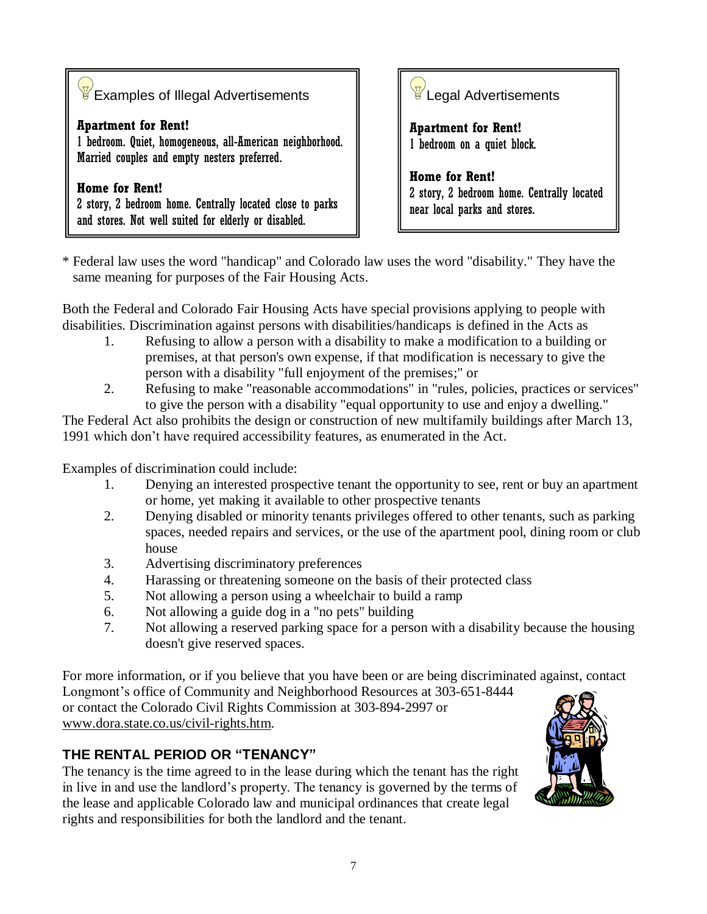| $\overline{\mathscr{C}}$ Examples of Illegal Advertisements                                                                                |  |
|--------------------------------------------------------------------------------------------------------------------------------------------|--|
| <b>Apartment for Rent!</b><br>1 bedroom. Quiet, homogeneous, all-American neighborhood.<br>Married couples and empty nesters preferred.    |  |
| <b>Home for Rent!</b><br>2 story, 2 bedroom home. Centrally located close to parks<br>and stores. Not well suited for elderly or disabled. |  |



**Apartment for Rent!** 1 bedroom on a quiet block.

**Home for Rent!**  2 story, 2 bedroom home. Centrally located near local parks and stores.

\* Federal law uses the word "handicap" and Colorado law uses the word "disability." They have the same meaning for purposes of the Fair Housing Acts.

Both the Federal and Colorado Fair Housing Acts have special provisions applying to people with disabilities. Discrimination against persons with disabilities/handicaps is defined in the Acts as

- 1. Refusing to allow a person with a disability to make a modification to a building or premises, at that person's own expense, if that modification is necessary to give the person with a disability "full enjoyment of the premises;" or
- 2. Refusing to make "reasonable accommodations" in "rules, policies, practices or services" to give the person with a disability "equal opportunity to use and enjoy a dwelling."

The Federal Act also prohibits the design or construction of new multifamily buildings after March 13, 1991 which don't have required accessibility features, as enumerated in the Act.

Examples of discrimination could include:

- 1. Denying an interested prospective tenant the opportunity to see, rent or buy an apartment or home, yet making it available to other prospective tenants
- 2. Denying disabled or minority tenants privileges offered to other tenants, such as parking spaces, needed repairs and services, or the use of the apartment pool, dining room or club house
- 3. Advertising discriminatory preferences
- 4. Harassing or threatening someone on the basis of their protected class
- 5. Not allowing a person using a wheelchair to build a ramp
- 6. Not allowing a guide dog in a "no pets" building
- 7. Not allowing a reserved parking space for a person with a disability because the housing doesn't give reserved spaces.

For more information, or if you believe that you have been or are being discriminated against, contact Longmont's office of Community and Neighborhood Resources at 303-651-8444 or contact the Colorado Civil Rights Commission at 303-894-2997 or www.dora.state.co.us/civil-rights.htm.

# **THE RENTAL PERIOD OR "TENANCY"**

The tenancy is the time agreed to in the lease during which the tenant has the right in live in and use the landlord's property. The tenancy is governed by the terms of the lease and applicable Colorado law and municipal ordinances that create legal rights and responsibilities for both the landlord and the tenant.

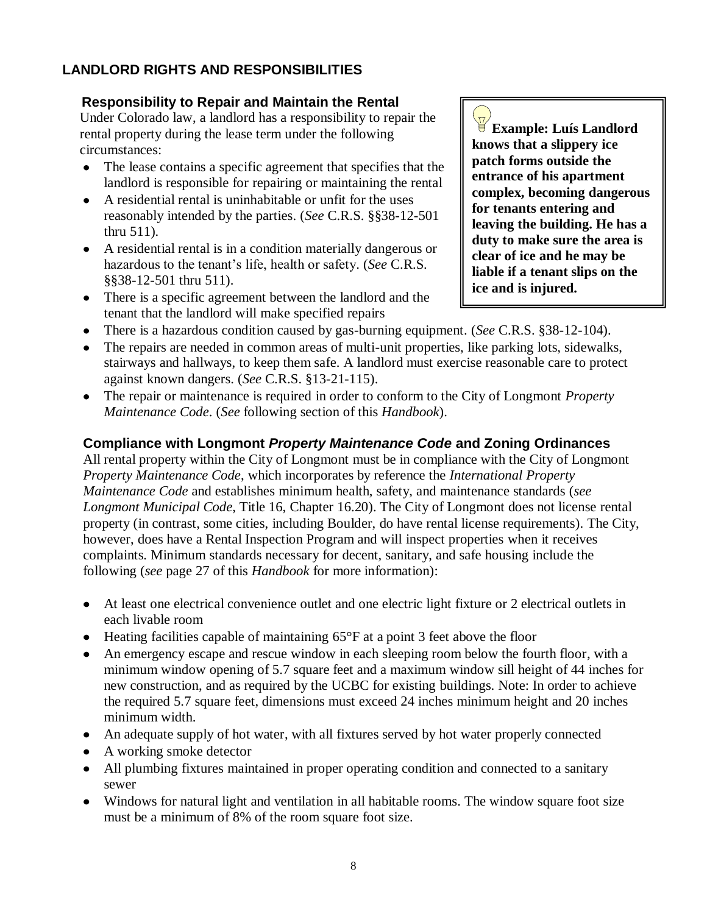# **LANDLORD RIGHTS AND RESPONSIBILITIES**

#### **Responsibility to Repair and Maintain the Rental**

 Under Colorado law, a landlord has a responsibility to repair the rental property during the lease term under the following circumstances:

- The lease contains a specific agreement that specifies that the  $\bullet$ landlord is responsible for repairing or maintaining the rental
- A residential rental is uninhabitable or unfit for the uses reasonably intended by the parties. (*See* C.R.S. §§38-12-501 thru 511).
- A residential rental is in a condition materially dangerous or hazardous to the tenant's life, health or safety. (*See* C.R.S. §§38-12-501 thru 511).
- There is a specific agreement between the landlord and the tenant that the landlord will make specified repairs

**Example: Luís Landlord knows that a slippery ice patch forms outside the entrance of his apartment complex, becoming dangerous for tenants entering and leaving the building. He has a duty to make sure the area is clear of ice and he may be liable if a tenant slips on the ice and is injured.**

- There is a hazardous condition caused by gas-burning equipment. (*See* C.R.S. §38-12-104).
- The repairs are needed in common areas of multi-unit properties, like parking lots, sidewalks, stairways and hallways, to keep them safe. A landlord must exercise reasonable care to protect against known dangers. (*See* C.R.S. §13-21-115).
- The repair or maintenance is required in order to conform to the City of Longmont *Property Maintenance Code*. (*See* following section of this *Handbook*).

# **Compliance with Longmont** *Property Maintenance Code* **and Zoning Ordinances**

All rental property within the City of Longmont must be in compliance with the City of Longmont *Property Maintenance Code*, which incorporates by reference the *International Property Maintenance Code* and establishes minimum health, safety, and maintenance standards (*see Longmont Municipal Code*, Title 16, Chapter 16.20). The City of Longmont does not license rental property (in contrast, some cities, including Boulder, do have rental license requirements). The City, however, does have a Rental Inspection Program and will inspect properties when it receives complaints. Minimum standards necessary for decent, sanitary, and safe housing include the following (*see* page 27 of this *Handbook* for more information):

- At least one electrical convenience outlet and one electric light fixture or 2 electrical outlets in each livable room
- $\bullet$  Heating facilities capable of maintaining 65 $\degree$ F at a point 3 feet above the floor
- An emergency escape and rescue window in each sleeping room below the fourth floor, with a minimum window opening of 5.7 square feet and a maximum window sill height of 44 inches for new construction, and as required by the UCBC for existing buildings. Note: In order to achieve the required 5.7 square feet, dimensions must exceed 24 inches minimum height and 20 inches minimum width.
- An adequate supply of hot water, with all fixtures served by hot water properly connected
- A working smoke detector
- All plumbing fixtures maintained in proper operating condition and connected to a sanitary sewer
- Windows for natural light and ventilation in all habitable rooms. The window square foot size must be a minimum of 8% of the room square foot size.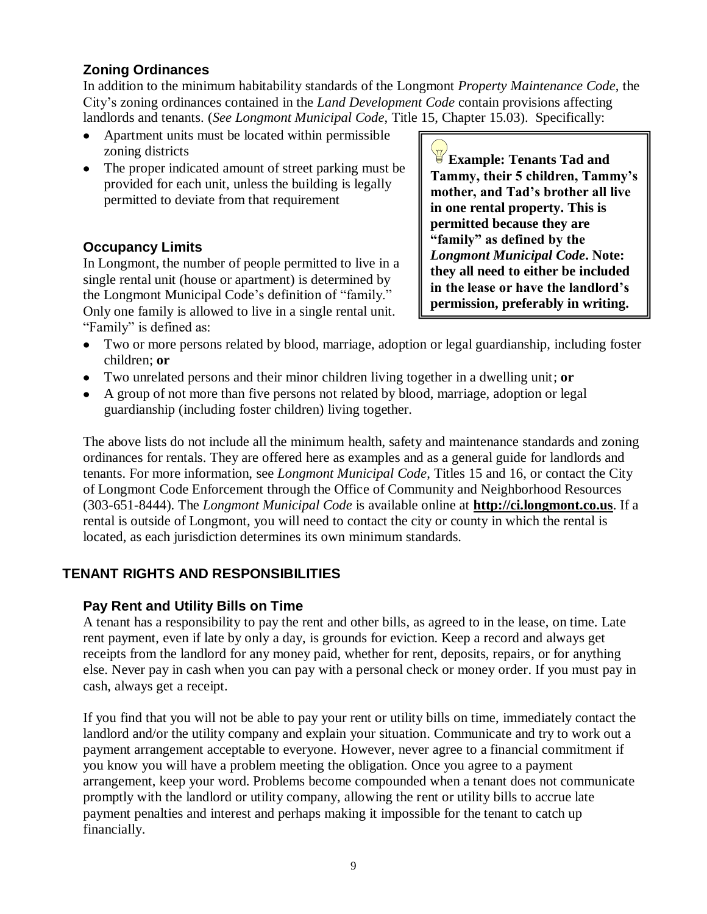# **Zoning Ordinances**

In addition to the minimum habitability standards of the Longmont *Property Maintenance Code*, the City's zoning ordinances contained in the *Land Development Code* contain provisions affecting landlords and tenants. (*See Longmont Municipal Code*, Title 15, Chapter 15.03). Specifically:

- Apartment units must be located within permissible zoning districts
- The proper indicated amount of street parking must be provided for each unit, unless the building is legally permitted to deviate from that requirement

# **Occupancy Limits**

In Longmont, the number of people permitted to live in a single rental unit (house or apartment) is determined by the Longmont Municipal Code's definition of "family." Only one family is allowed to live in a single rental unit. "Family" is defined as:

**Example: Tenants Tad and Tammy, their 5 children, Tammy"s mother, and Tad"s brother all live in one rental property. This is permitted because they are "family" as defined by the** *Longmont Municipal Code***. Note: they all need to either be included in the lease or have the landlord"s permission, preferably in writing.**

- Two or more persons related by blood, marriage, adoption or legal guardianship, including foster  $\bullet$ children; **or**
- Two unrelated persons and their minor children living together in a dwelling unit; **or**
- A group of not more than five persons not related by blood, marriage, adoption or legal guardianship (including foster children) living together.

The above lists do not include all the minimum health, safety and maintenance standards and zoning ordinances for rentals. They are offered here as examples and as a general guide for landlords and tenants. For more information, see *Longmont Municipal Code*, Titles 15 and 16, or contact the City of Longmont Code Enforcement through the Office of Community and Neighborhood Resources (303-651-8444). The *Longmont Municipal Code* is available online at **http://ci.longmont.co.us**. If a rental is outside of Longmont, you will need to contact the city or county in which the rental is located, as each jurisdiction determines its own minimum standards.

# **TENANT RIGHTS AND RESPONSIBILITIES**

#### **Pay Rent and Utility Bills on Time**

A tenant has a responsibility to pay the rent and other bills, as agreed to in the lease, on time. Late rent payment, even if late by only a day, is grounds for eviction. Keep a record and always get receipts from the landlord for any money paid, whether for rent, deposits, repairs, or for anything else. Never pay in cash when you can pay with a personal check or money order. If you must pay in cash, always get a receipt.

If you find that you will not be able to pay your rent or utility bills on time, immediately contact the landlord and/or the utility company and explain your situation. Communicate and try to work out a payment arrangement acceptable to everyone. However, never agree to a financial commitment if you know you will have a problem meeting the obligation. Once you agree to a payment arrangement, keep your word. Problems become compounded when a tenant does not communicate promptly with the landlord or utility company, allowing the rent or utility bills to accrue late payment penalties and interest and perhaps making it impossible for the tenant to catch up financially.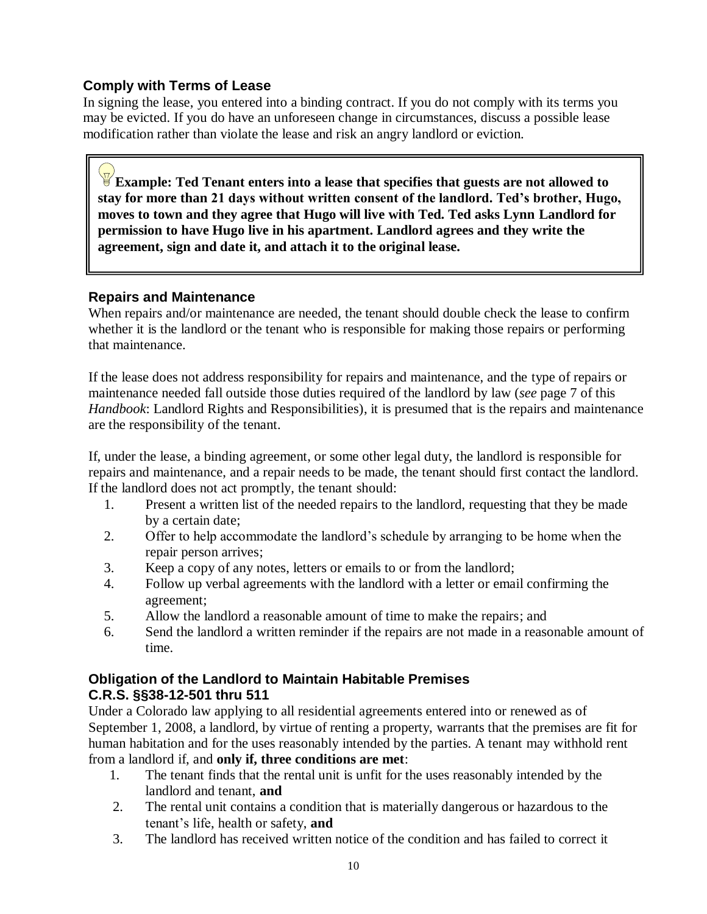# **Comply with Terms of Lease**

In signing the lease, you entered into a binding contract. If you do not comply with its terms you may be evicted. If you do have an unforeseen change in circumstances, discuss a possible lease modification rather than violate the lease and risk an angry landlord or eviction.

**Example: Ted Tenant enters into a lease that specifies that guests are not allowed to stay for more than 21 days without written consent of the landlord. Ted"s brother, Hugo, moves to town and they agree that Hugo will live with Ted. Ted asks Lynn Landlord for permission to have Hugo live in his apartment. Landlord agrees and they write the agreement, sign and date it, and attach it to the original lease.** 

#### **Repairs and Maintenance**

When repairs and/or maintenance are needed, the tenant should double check the lease to confirm whether it is the landlord or the tenant who is responsible for making those repairs or performing that maintenance.

If the lease does not address responsibility for repairs and maintenance, and the type of repairs or maintenance needed fall outside those duties required of the landlord by law (*see* page 7 of this *Handbook*: Landlord Rights and Responsibilities), it is presumed that is the repairs and maintenance are the responsibility of the tenant.

If, under the lease, a binding agreement, or some other legal duty, the landlord is responsible for repairs and maintenance, and a repair needs to be made, the tenant should first contact the landlord. If the landlord does not act promptly, the tenant should:

- 1. Present a written list of the needed repairs to the landlord, requesting that they be made by a certain date;
- 2. Offer to help accommodate the landlord's schedule by arranging to be home when the repair person arrives;
- 3. Keep a copy of any notes, letters or emails to or from the landlord;
- 4. Follow up verbal agreements with the landlord with a letter or email confirming the agreement;
- 5. Allow the landlord a reasonable amount of time to make the repairs; and
- 6. Send the landlord a written reminder if the repairs are not made in a reasonable amount of time.

# **Obligation of the Landlord to Maintain Habitable Premises C.R.S. §§38-12-501 thru 511**

Under a Colorado law applying to all residential agreements entered into or renewed as of September 1, 2008, a landlord, by virtue of renting a property, warrants that the premises are fit for human habitation and for the uses reasonably intended by the parties. A tenant may withhold rent from a landlord if, and **only if, three conditions are met**:

- 1. The tenant finds that the rental unit is unfit for the uses reasonably intended by the landlord and tenant, **and**
- 2. The rental unit contains a condition that is materially dangerous or hazardous to the tenant's life, health or safety, **and**
- 3. The landlord has received written notice of the condition and has failed to correct it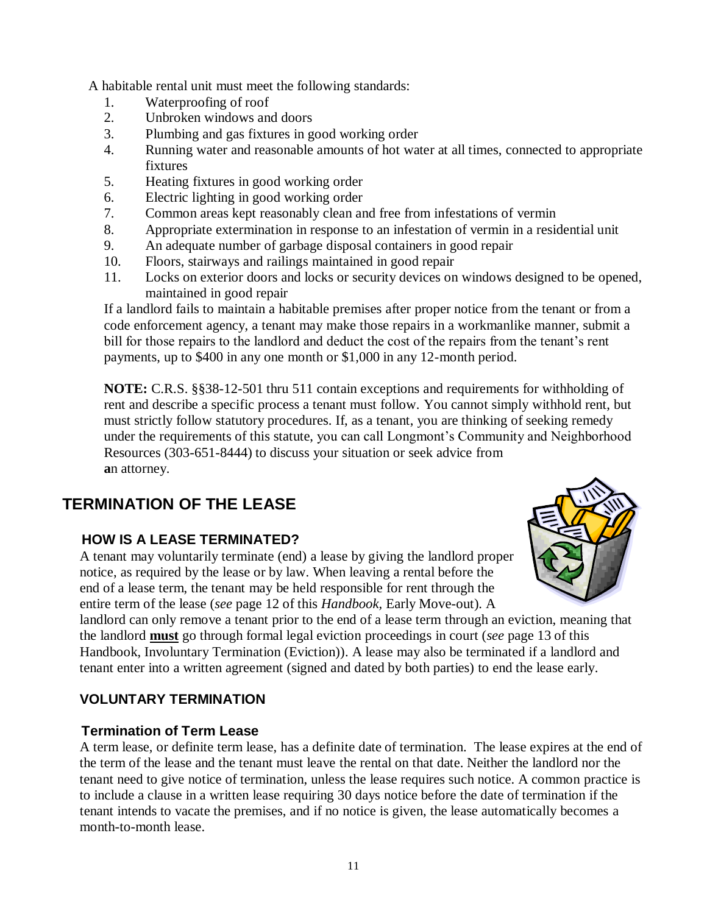A habitable rental unit must meet the following standards:

- 1. Waterproofing of roof
- 2. Unbroken windows and doors
- 3. Plumbing and gas fixtures in good working order
- 4. Running water and reasonable amounts of hot water at all times, connected to appropriate fixtures
- 5. Heating fixtures in good working order
- 6. Electric lighting in good working order
- 7. Common areas kept reasonably clean and free from infestations of vermin
- 8. Appropriate extermination in response to an infestation of vermin in a residential unit
- 9. An adequate number of garbage disposal containers in good repair
- 10. Floors, stairways and railings maintained in good repair
- 11. Locks on exterior doors and locks or security devices on windows designed to be opened, maintained in good repair

If a landlord fails to maintain a habitable premises after proper notice from the tenant or from a code enforcement agency, a tenant may make those repairs in a workmanlike manner, submit a bill for those repairs to the landlord and deduct the cost of the repairs from the tenant's rent payments, up to \$400 in any one month or \$1,000 in any 12-month period.

**NOTE:** C.R.S. §§38-12-501 thru 511 contain exceptions and requirements for withholding of rent and describe a specific process a tenant must follow. You cannot simply withhold rent, but must strictly follow statutory procedures. If, as a tenant, you are thinking of seeking remedy under the requirements of this statute, you can call Longmont's Community and Neighborhood Resources (303-651-8444) to discuss your situation or seek advice from **a**n attorney.

# **TERMINATION OF THE LEASE**

# **HOW IS A LEASE TERMINATED?**

 A tenant may voluntarily terminate (end) a lease by giving the landlord proper notice, as required by the lease or by law. When leaving a rental before the end of a lease term, the tenant may be held responsible for rent through the entire term of the lease (*see* page 12 of this *Handbook,* Early Move-out). A



 landlord can only remove a tenant prior to the end of a lease term through an eviction, meaning that the landlord **must** go through formal legal eviction proceedings in court (*see* page 13 of this Handbook, Involuntary Termination (Eviction)). A lease may also be terminated if a landlord and tenant enter into a written agreement (signed and dated by both parties) to end the lease early.

# **VOLUNTARY TERMINATION**

# **Termination of Term Lease**

 A term lease, or definite term lease, has a definite date of termination. The lease expires at the end of the term of the lease and the tenant must leave the rental on that date. Neither the landlord nor the tenant need to give notice of termination, unless the lease requires such notice. A common practice is to include a clause in a written lease requiring 30 days notice before the date of termination if the tenant intends to vacate the premises, and if no notice is given, the lease automatically becomes a month-to-month lease.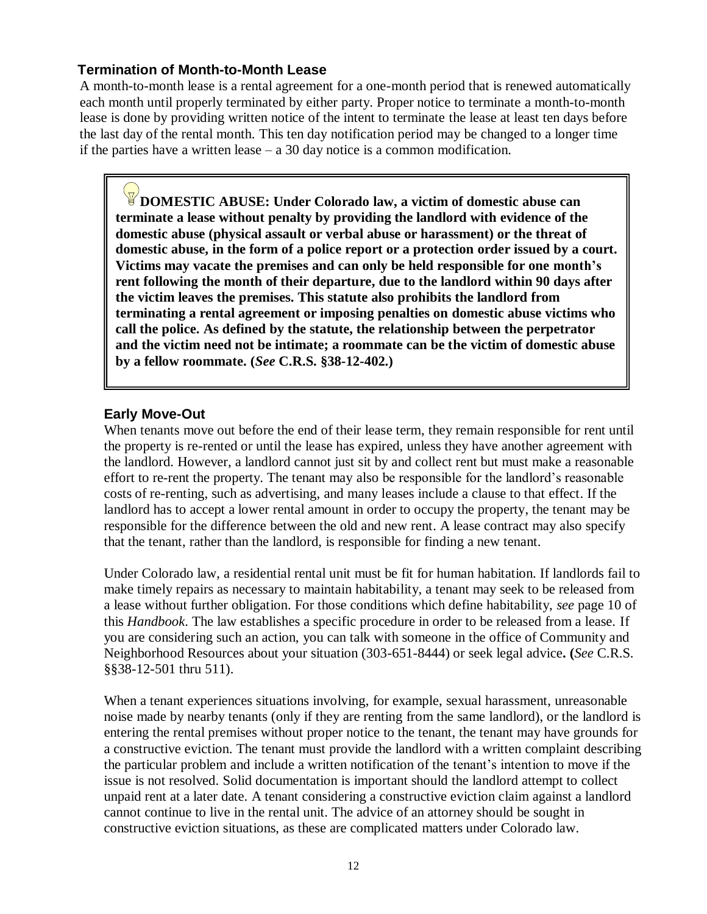#### **Termination of Month-to-Month Lease**

 A month-to-month lease is a rental agreement for a one-month period that is renewed automatically each month until properly terminated by either party. Proper notice to terminate a month-to-month lease is done by providing written notice of the intent to terminate the lease at least ten days before the last day of the rental month. This ten day notification period may be changed to a longer time if the parties have a written lease – a 30 day notice is a common modification.

**DOMESTIC ABUSE: Under Colorado law, a victim of domestic abuse can terminate a lease without penalty by providing the landlord with evidence of the domestic abuse (physical assault or verbal abuse or harassment) or the threat of domestic abuse, in the form of a police report or a protection order issued by a court. Victims may vacate the premises and can only be held responsible for one month"s rent following the month of their departure, due to the landlord within 90 days after the victim leaves the premises. This statute also prohibits the landlord from terminating a rental agreement or imposing penalties on domestic abuse victims who call the police. As defined by the statute, the relationship between the perpetrator and the victim need not be intimate; a roommate can be the victim of domestic abuse by a fellow roommate. (***See* **C.R.S. §38-12-402.)**

# **Early Move-Out**

When tenants move out before the end of their lease term, they remain responsible for rent until the property is re-rented or until the lease has expired, unless they have another agreement with the landlord. However, a landlord cannot just sit by and collect rent but must make a reasonable effort to re-rent the property. The tenant may also be responsible for the landlord's reasonable costs of re-renting, such as advertising, and many leases include a clause to that effect. If the landlord has to accept a lower rental amount in order to occupy the property, the tenant may be responsible for the difference between the old and new rent. A lease contract may also specify that the tenant, rather than the landlord, is responsible for finding a new tenant.

Under Colorado law, a residential rental unit must be fit for human habitation. If landlords fail to make timely repairs as necessary to maintain habitability, a tenant may seek to be released from a lease without further obligation. For those conditions which define habitability, *see* page 10 of this *Handbook*. The law establishes a specific procedure in order to be released from a lease. If you are considering such an action, you can talk with someone in the office of Community and Neighborhood Resources about your situation (303-651-8444) or seek legal advice**. (***See* C.R.S. §§38-12-501 thru 511).

When a tenant experiences situations involving, for example, sexual harassment, unreasonable noise made by nearby tenants (only if they are renting from the same landlord), or the landlord is entering the rental premises without proper notice to the tenant, the tenant may have grounds for a constructive eviction. The tenant must provide the landlord with a written complaint describing the particular problem and include a written notification of the tenant's intention to move if the issue is not resolved. Solid documentation is important should the landlord attempt to collect unpaid rent at a later date. A tenant considering a constructive eviction claim against a landlord cannot continue to live in the rental unit. The advice of an attorney should be sought in constructive eviction situations, as these are complicated matters under Colorado law.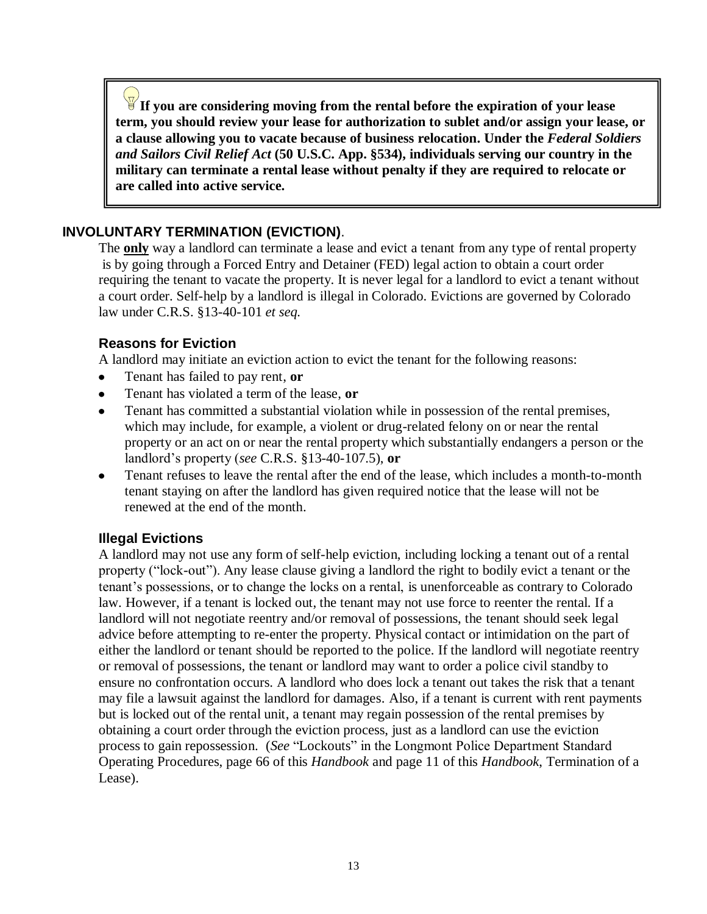**If you are considering moving from the rental before the expiration of your lease term, you should review your lease for authorization to sublet and/or assign your lease, or a clause allowing you to vacate because of business relocation. Under the** *Federal Soldiers and Sailors Civil Relief Act* **(50 U.S.C. App. §534), individuals serving our country in the military can terminate a rental lease without penalty if they are required to relocate or are called into active service.** 

#### **INVOLUNTARY TERMINATION (EVICTION)**.

The **only** way a landlord can terminate a lease and evict a tenant from any type of rental property is by going through a Forced Entry and Detainer (FED) legal action to obtain a court order requiring the tenant to vacate the property. It is never legal for a landlord to evict a tenant without a court order. Self-help by a landlord is illegal in Colorado. Evictions are governed by Colorado law under C.R.S. §13-40-101 *et seq.*

#### **Reasons for Eviction**

A landlord may initiate an eviction action to evict the tenant for the following reasons:

- Tenant has failed to pay rent, **or**
- Tenant has violated a term of the lease, **or**
- Tenant has committed a substantial violation while in possession of the rental premises, which may include, for example, a violent or drug-related felony on or near the rental property or an act on or near the rental property which substantially endangers a person or the landlord's property (*see* C.R.S. §13-40-107.5), **or**
- Tenant refuses to leave the rental after the end of the lease, which includes a month-to-month tenant staying on after the landlord has given required notice that the lease will not be renewed at the end of the month.

#### **Illegal Evictions**

A landlord may not use any form of self-help eviction, including locking a tenant out of a rental property ("lock-out"). Any lease clause giving a landlord the right to bodily evict a tenant or the tenant's possessions, or to change the locks on a rental, is unenforceable as contrary to Colorado law. However, if a tenant is locked out, the tenant may not use force to reenter the rental. If a landlord will not negotiate reentry and/or removal of possessions, the tenant should seek legal advice before attempting to re-enter the property. Physical contact or intimidation on the part of either the landlord or tenant should be reported to the police. If the landlord will negotiate reentry or removal of possessions, the tenant or landlord may want to order a police civil standby to ensure no confrontation occurs. A landlord who does lock a tenant out takes the risk that a tenant may file a lawsuit against the landlord for damages. Also, if a tenant is current with rent payments but is locked out of the rental unit, a tenant may regain possession of the rental premises by obtaining a court order through the eviction process, just as a landlord can use the eviction process to gain repossession. (*See* "Lockouts" in the Longmont Police Department Standard Operating Procedures, page 66 of this *Handbook* and page 11 of this *Handbook*, Termination of a Lease).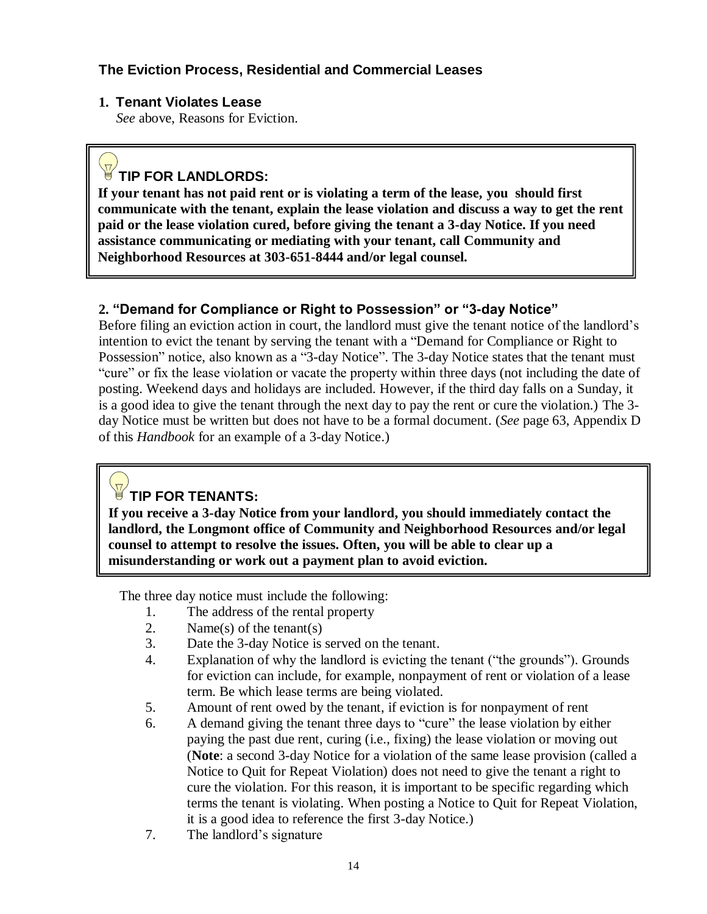# **The Eviction Process, Residential and Commercial Leases**

#### **1. Tenant Violates Lease**

 *See* above, Reasons for Eviction.

# **TIP FOR LANDLORDS:**

**If your tenant has not paid rent or is violating a term of the lease, you should first communicate with the tenant, explain the lease violation and discuss a way to get the rent paid or the lease violation cured, before giving the tenant a 3-day Notice. If you need assistance communicating or mediating with your tenant, call Community and Neighborhood Resources at 303-651-8444 and/or legal counsel.**

# **2. "Demand for Compliance or Right to Possession" or "3-day Notice"**

Before filing an eviction action in court, the landlord must give the tenant notice of the landlord's intention to evict the tenant by serving the tenant with a "Demand for Compliance or Right to Possession" notice, also known as a "3-day Notice". The 3-day Notice states that the tenant must "cure" or fix the lease violation or vacate the property within three days (not including the date of posting. Weekend days and holidays are included. However, if the third day falls on a Sunday, it is a good idea to give the tenant through the next day to pay the rent or cure the violation.) The 3 day Notice must be written but does not have to be a formal document. (*See* page 63, Appendix D of this *Handbook* for an example of a 3-day Notice.)

# **TIP FOR TENANTS:**

**If you receive a 3-day Notice from your landlord, you should immediately contact the landlord, the Longmont office of Community and Neighborhood Resources and/or legal counsel to attempt to resolve the issues. Often, you will be able to clear up a misunderstanding or work out a payment plan to avoid eviction.** 

The three day notice must include the following:

- 1. The address of the rental property
- 2. Name(s) of the tenant(s)
- 3. Date the 3-day Notice is served on the tenant.
- 4. Explanation of why the landlord is evicting the tenant ("the grounds"). Grounds for eviction can include, for example, nonpayment of rent or violation of a lease term. Be which lease terms are being violated.
- 5. Amount of rent owed by the tenant, if eviction is for nonpayment of rent
- 6. A demand giving the tenant three days to "cure" the lease violation by either paying the past due rent, curing (i.e., fixing) the lease violation or moving out (**Note**: a second 3-day Notice for a violation of the same lease provision (called a Notice to Quit for Repeat Violation) does not need to give the tenant a right to cure the violation. For this reason, it is important to be specific regarding which terms the tenant is violating. When posting a Notice to Quit for Repeat Violation, it is a good idea to reference the first 3-day Notice.)
- 7. The landlord's signature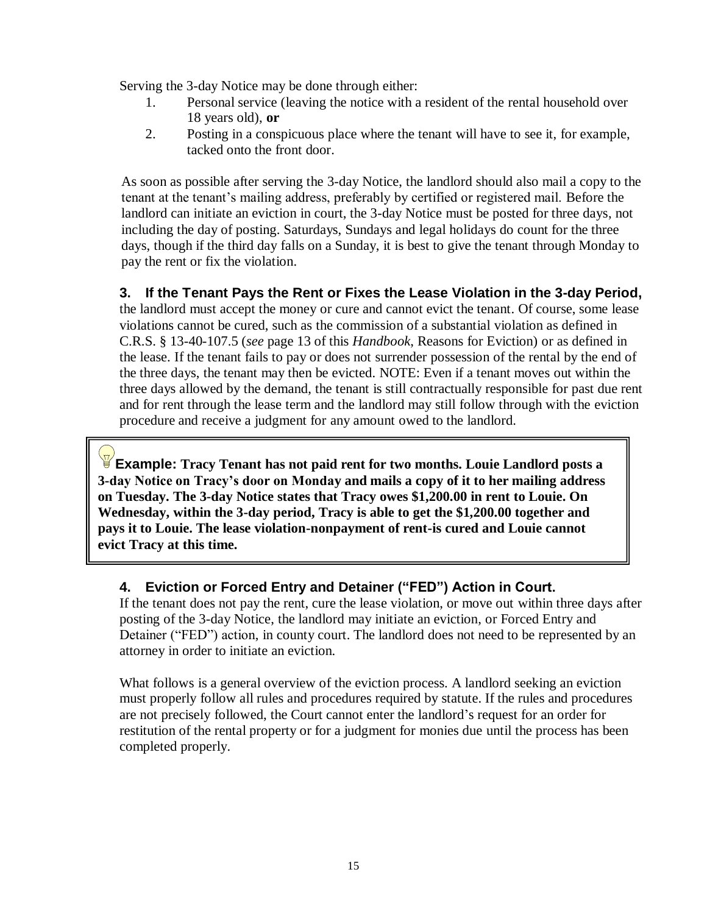Serving the 3-day Notice may be done through either:

- 1. Personal service (leaving the notice with a resident of the rental household over 18 years old), **or**
- 2. Posting in a conspicuous place where the tenant will have to see it, for example, tacked onto the front door.

As soon as possible after serving the 3-day Notice, the landlord should also mail a copy to the tenant at the tenant's mailing address, preferably by certified or registered mail. Before the landlord can initiate an eviction in court, the 3-day Notice must be posted for three days, not including the day of posting. Saturdays, Sundays and legal holidays do count for the three days, though if the third day falls on a Sunday, it is best to give the tenant through Monday to pay the rent or fix the violation.

# **3. If the Tenant Pays the Rent or Fixes the Lease Violation in the 3-day Period,**

the landlord must accept the money or cure and cannot evict the tenant. Of course, some lease violations cannot be cured, such as the commission of a substantial violation as defined in C.R.S. § 13-40-107.5 (*see* page 13 of this *Handbook*, Reasons for Eviction) or as defined in the lease. If the tenant fails to pay or does not surrender possession of the rental by the end of the three days, the tenant may then be evicted. NOTE: Even if a tenant moves out within the three days allowed by the demand, the tenant is still contractually responsible for past due rent and for rent through the lease term and the landlord may still follow through with the eviction procedure and receive a judgment for any amount owed to the landlord.

**Example: Tracy Tenant has not paid rent for two months. Louie Landlord posts a 3-day Notice on Tracy"s door on Monday and mails a copy of it to her mailing address on Tuesday. The 3-day Notice states that Tracy owes \$1,200.00 in rent to Louie. On Wednesday, within the 3-day period, Tracy is able to get the \$1,200.00 together and pays it to Louie. The lease violation-nonpayment of rent-is cured and Louie cannot evict Tracy at this time.**

#### **4. Eviction or Forced Entry and Detainer ("FED") Action in Court.**

If the tenant does not pay the rent, cure the lease violation, or move out within three days after posting of the 3-day Notice, the landlord may initiate an eviction, or Forced Entry and Detainer ("FED") action, in county court. The landlord does not need to be represented by an attorney in order to initiate an eviction.

What follows is a general overview of the eviction process. A landlord seeking an eviction must properly follow all rules and procedures required by statute. If the rules and procedures are not precisely followed, the Court cannot enter the landlord's request for an order for restitution of the rental property or for a judgment for monies due until the process has been completed properly.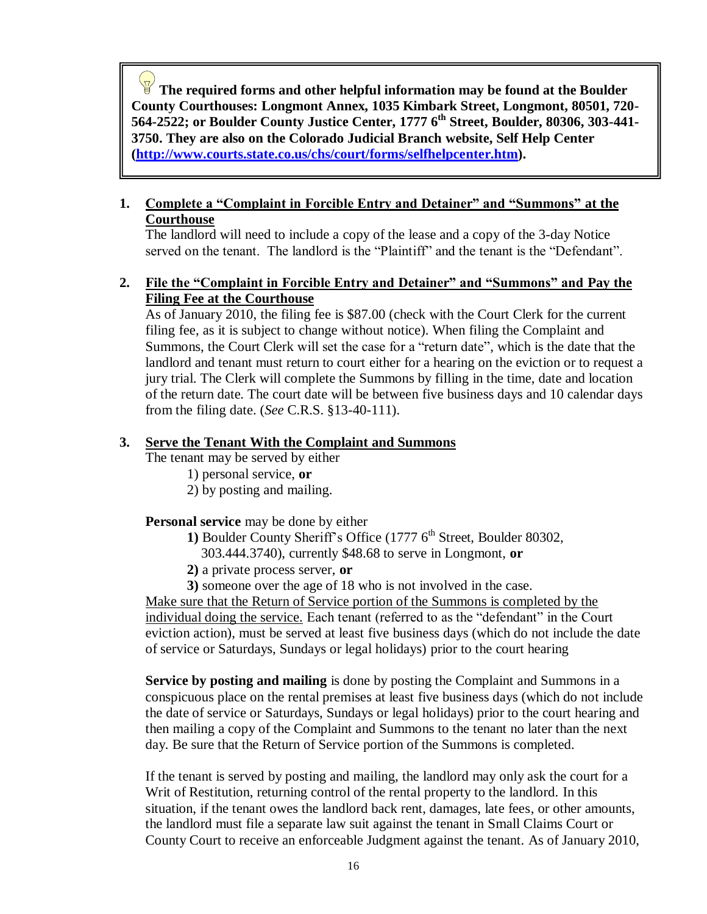**The required forms and other helpful information may be found at the Boulder County Courthouses: Longmont Annex, 1035 Kimbark Street, Longmont, 80501, 720- 564-2522; or Boulder County Justice Center, 1777 6th Street, Boulder, 80306, 303-441- 3750. They are also on the Colorado Judicial Branch website, Self Help Center [\(http://www.courts.state.co.us/chs/court/forms/selfhelpcenter.htm\)](http://www.courts.state.co.us/chs/court/forms/selfhelpcenter.htm).**

#### **1. Complete a "Complaint in Forcible Entry and Detainer" and "Summons" at the Courthouse**

The landlord will need to include a copy of the lease and a copy of the 3-day Notice served on the tenant. The landlord is the "Plaintiff" and the tenant is the "Defendant".

#### **2. File the "Complaint in Forcible Entry and Detainer" and "Summons" and Pay the Filing Fee at the Courthouse**

As of January 2010, the filing fee is \$87.00 (check with the Court Clerk for the current filing fee, as it is subject to change without notice). When filing the Complaint and Summons, the Court Clerk will set the case for a "return date", which is the date that the landlord and tenant must return to court either for a hearing on the eviction or to request a jury trial. The Clerk will complete the Summons by filling in the time, date and location of the return date. The court date will be between five business days and 10 calendar days from the filing date. (*See* C.R.S. §13-40-111).

#### **3. Serve the Tenant With the Complaint and Summons**

The tenant may be served by either

- 1) personal service, **or**
- 2) by posting and mailing.

**Personal service** may be done by either

- **1) Boulder County Sheriff's Office (1777 6<sup>th</sup> Street, Boulder 80302,** 
	- 303.444.3740), currently \$48.68 to serve in Longmont, **or**
- **2)** a private process server, **or**
- **3)** someone over the age of 18 who is not involved in the case.

Make sure that the Return of Service portion of the Summons is completed by the individual doing the service. Each tenant (referred to as the "defendant" in the Court eviction action), must be served at least five business days (which do not include the date of service or Saturdays, Sundays or legal holidays) prior to the court hearing

**Service by posting and mailing** is done by posting the Complaint and Summons in a conspicuous place on the rental premises at least five business days (which do not include the date of service or Saturdays, Sundays or legal holidays) prior to the court hearing and then mailing a copy of the Complaint and Summons to the tenant no later than the next day. Be sure that the Return of Service portion of the Summons is completed.

If the tenant is served by posting and mailing, the landlord may only ask the court for a Writ of Restitution, returning control of the rental property to the landlord. In this situation, if the tenant owes the landlord back rent, damages, late fees, or other amounts, the landlord must file a separate law suit against the tenant in Small Claims Court or County Court to receive an enforceable Judgment against the tenant. As of January 2010,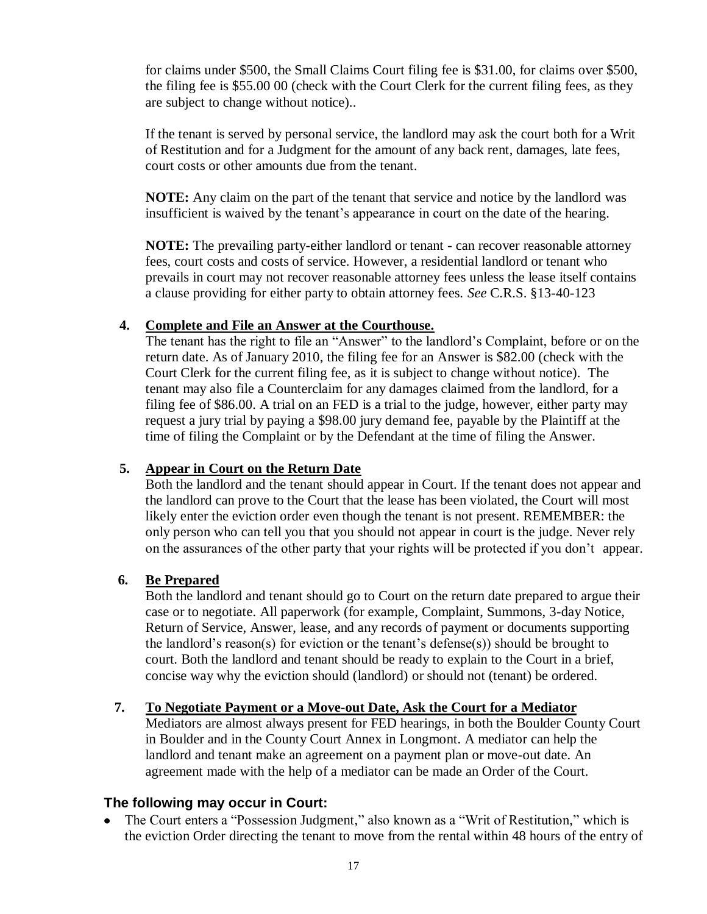for claims under \$500, the Small Claims Court filing fee is \$31.00, for claims over \$500, the filing fee is \$55.00 00 (check with the Court Clerk for the current filing fees, as they are subject to change without notice)..

If the tenant is served by personal service, the landlord may ask the court both for a Writ of Restitution and for a Judgment for the amount of any back rent, damages, late fees, court costs or other amounts due from the tenant.

**NOTE:** Any claim on the part of the tenant that service and notice by the landlord was insufficient is waived by the tenant's appearance in court on the date of the hearing.

**NOTE:** The prevailing party-either landlord or tenant - can recover reasonable attorney fees, court costs and costs of service. However, a residential landlord or tenant who prevails in court may not recover reasonable attorney fees unless the lease itself contains a clause providing for either party to obtain attorney fees. *See* C.R.S. §13-40-123

#### **4. Complete and File an Answer at the Courthouse.**

The tenant has the right to file an "Answer" to the landlord's Complaint, before or on the return date. As of January 2010, the filing fee for an Answer is \$82.00 (check with the Court Clerk for the current filing fee, as it is subject to change without notice). The tenant may also file a Counterclaim for any damages claimed from the landlord, for a filing fee of \$86.00. A trial on an FED is a trial to the judge, however, either party may request a jury trial by paying a \$98.00 jury demand fee, payable by the Plaintiff at the time of filing the Complaint or by the Defendant at the time of filing the Answer.

#### **5. Appear in Court on the Return Date**

Both the landlord and the tenant should appear in Court. If the tenant does not appear and the landlord can prove to the Court that the lease has been violated, the Court will most likely enter the eviction order even though the tenant is not present. REMEMBER: the only person who can tell you that you should not appear in court is the judge. Never rely on the assurances of the other party that your rights will be protected if you don't appear.

#### **6. Be Prepared**

 Both the landlord and tenant should go to Court on the return date prepared to argue their case or to negotiate. All paperwork (for example, Complaint, Summons, 3-day Notice, Return of Service, Answer, lease, and any records of payment or documents supporting the landlord's reason(s) for eviction or the tenant's defense(s)) should be brought to court. Both the landlord and tenant should be ready to explain to the Court in a brief, concise way why the eviction should (landlord) or should not (tenant) be ordered.

#### **7. To Negotiate Payment or a Move-out Date, Ask the Court for a Mediator**

Mediators are almost always present for FED hearings, in both the Boulder County Court in Boulder and in the County Court Annex in Longmont. A mediator can help the landlord and tenant make an agreement on a payment plan or move-out date. An agreement made with the help of a mediator can be made an Order of the Court.

#### **The following may occur in Court:**

The Court enters a "Possession Judgment," also known as a "Writ of Restitution," which is  $\bullet$ the eviction Order directing the tenant to move from the rental within 48 hours of the entry of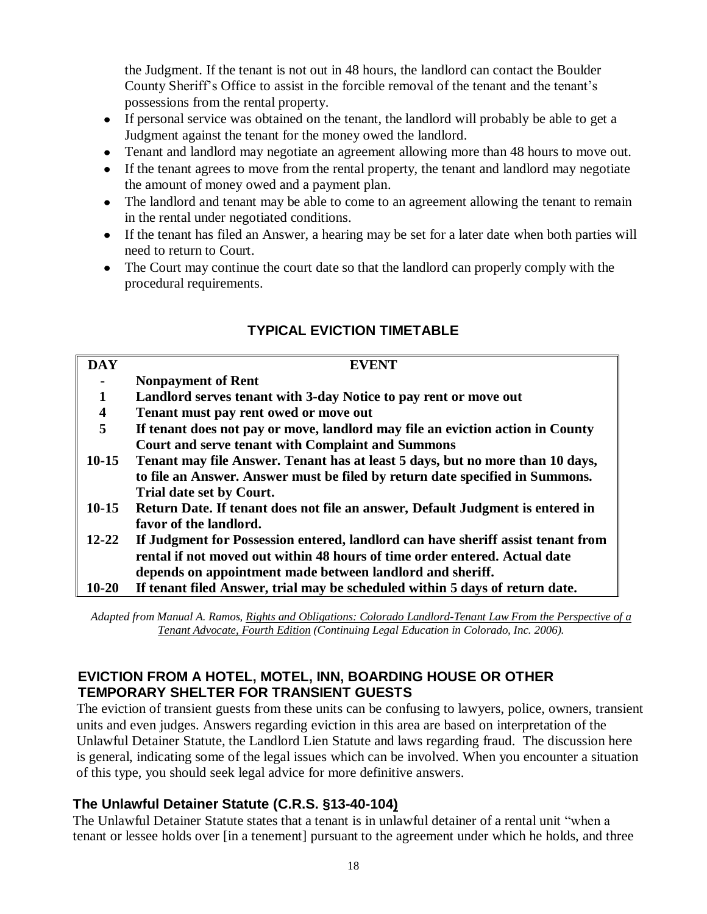the Judgment. If the tenant is not out in 48 hours, the landlord can contact the Boulder County Sheriff's Office to assist in the forcible removal of the tenant and the tenant's possessions from the rental property.

- If personal service was obtained on the tenant, the landlord will probably be able to get a Judgment against the tenant for the money owed the landlord.
- Tenant and landlord may negotiate an agreement allowing more than 48 hours to move out.
- If the tenant agrees to move from the rental property, the tenant and landlord may negotiate the amount of money owed and a payment plan.
- The landlord and tenant may be able to come to an agreement allowing the tenant to remain in the rental under negotiated conditions.
- If the tenant has filed an Answer, a hearing may be set for a later date when both parties will need to return to Court.
- The Court may continue the court date so that the landlord can properly comply with the procedural requirements.

| <b>DAY</b> | <b>EVENT</b>                                                                     |
|------------|----------------------------------------------------------------------------------|
|            | <b>Nonpayment of Rent</b>                                                        |
|            | Landlord serves tenant with 3-day Notice to pay rent or move out                 |
| 4          | Tenant must pay rent owed or move out                                            |
| 5          | If tenant does not pay or move, landlord may file an eviction action in County   |
|            | <b>Court and serve tenant with Complaint and Summons</b>                         |
| $10-15$    | Tenant may file Answer. Tenant has at least 5 days, but no more than 10 days,    |
|            | to file an Answer. Answer must be filed by return date specified in Summons.     |
|            | Trial date set by Court.                                                         |
| $10-15$    | Return Date. If tenant does not file an answer, Default Judgment is entered in   |
|            | favor of the landlord.                                                           |
| $12 - 22$  | If Judgment for Possession entered, landlord can have sheriff assist tenant from |
|            | rental if not moved out within 48 hours of time order entered. Actual date       |
|            | depends on appointment made between landlord and sheriff.                        |
| $10 - 20$  | If tenant filed Answer, trial may be scheduled within 5 days of return date.     |

# **TYPICAL EVICTION TIMETABLE**

*Adapted from Manual A. Ramos, Rights and Obligations: Colorado Landlord-Tenant Law From the Perspective of a Tenant Advocate, Fourth Edition (Continuing Legal Education in Colorado, Inc. 2006).*

# **EVICTION FROM A HOTEL, MOTEL, INN, BOARDING HOUSE OR OTHER TEMPORARY SHELTER FOR TRANSIENT GUESTS**

The eviction of transient guests from these units can be confusing to lawyers, police, owners, transient units and even judges. Answers regarding eviction in this area are based on interpretation of the Unlawful Detainer Statute, the Landlord Lien Statute and laws regarding fraud. The discussion here is general, indicating some of the legal issues which can be involved. When you encounter a situation of this type, you should seek legal advice for more definitive answers.

# **The Unlawful Detainer Statute (C.R.S. §13-40-104)**

The Unlawful Detainer Statute states that a tenant is in unlawful detainer of a rental unit "when a tenant or lessee holds over [in a tenement] pursuant to the agreement under which he holds, and three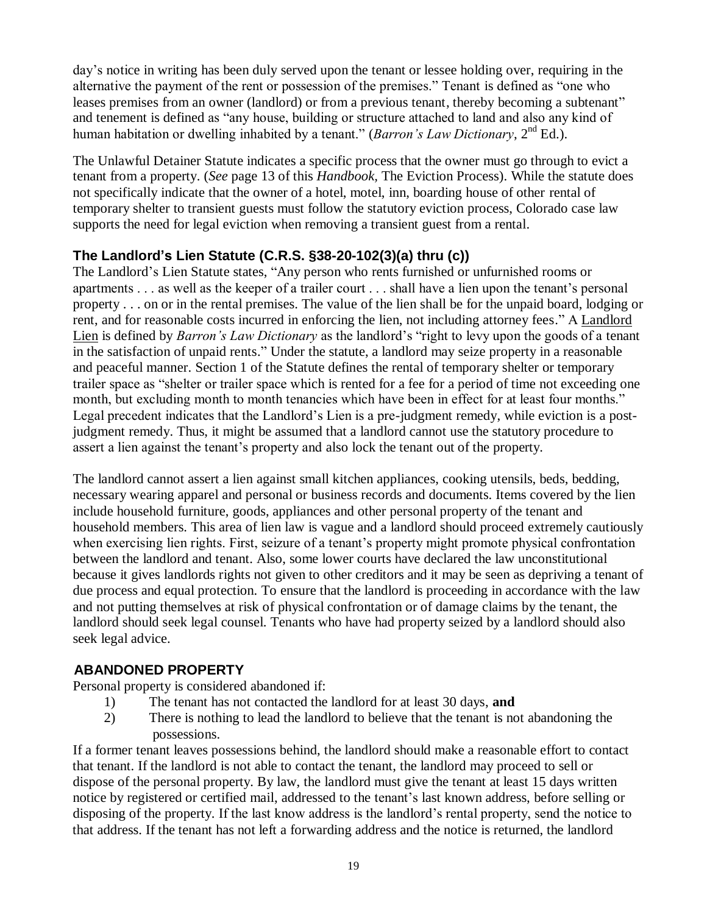day's notice in writing has been duly served upon the tenant or lessee holding over, requiring in the alternative the payment of the rent or possession of the premises." Tenant is defined as "one who leases premises from an owner (landlord) or from a previous tenant, thereby becoming a subtenant" and tenement is defined as "any house, building or structure attached to land and also any kind of human habitation or dwelling inhabited by a tenant." (*Barron's Law Dictionary*, 2<sup>nd</sup> Ed.).

The Unlawful Detainer Statute indicates a specific process that the owner must go through to evict a tenant from a property. (*See* page 13 of this *Handbook,* The Eviction Process). While the statute does not specifically indicate that the owner of a hotel, motel, inn, boarding house of other rental of temporary shelter to transient guests must follow the statutory eviction process, Colorado case law supports the need for legal eviction when removing a transient guest from a rental.

# **The Landlord's Lien Statute (C.R.S. §38-20-102(3)(a) thru (c))**

The Landlord's Lien Statute states, "Any person who rents furnished or unfurnished rooms or apartments . . . as well as the keeper of a trailer court . . . shall have a lien upon the tenant's personal property . . . on or in the rental premises. The value of the lien shall be for the unpaid board, lodging or rent, and for reasonable costs incurred in enforcing the lien, not including attorney fees." A Landlord Lien is defined by *Barron's Law Dictionary* as the landlord's "right to levy upon the goods of a tenant in the satisfaction of unpaid rents." Under the statute, a landlord may seize property in a reasonable and peaceful manner. Section 1 of the Statute defines the rental of temporary shelter or temporary trailer space as "shelter or trailer space which is rented for a fee for a period of time not exceeding one month, but excluding month to month tenancies which have been in effect for at least four months." Legal precedent indicates that the Landlord's Lien is a pre-judgment remedy, while eviction is a postjudgment remedy. Thus, it might be assumed that a landlord cannot use the statutory procedure to assert a lien against the tenant's property and also lock the tenant out of the property.

 The landlord cannot assert a lien against small kitchen appliances, cooking utensils, beds, bedding, necessary wearing apparel and personal or business records and documents. Items covered by the lien include household furniture, goods, appliances and other personal property of the tenant and household members. This area of lien law is vague and a landlord should proceed extremely cautiously when exercising lien rights. First, seizure of a tenant's property might promote physical confrontation between the landlord and tenant. Also, some lower courts have declared the law unconstitutional because it gives landlords rights not given to other creditors and it may be seen as depriving a tenant of due process and equal protection. To ensure that the landlord is proceeding in accordance with the law and not putting themselves at risk of physical confrontation or of damage claims by the tenant, the landlord should seek legal counsel. Tenants who have had property seized by a landlord should also seek legal advice.

#### **ABANDONED PROPERTY**

Personal property is considered abandoned if:

- 1) The tenant has not contacted the landlord for at least 30 days, **and**
- 2) There is nothing to lead the landlord to believe that the tenant is not abandoning the possessions.

 If a former tenant leaves possessions behind, the landlord should make a reasonable effort to contact that tenant. If the landlord is not able to contact the tenant, the landlord may proceed to sell or dispose of the personal property. By law, the landlord must give the tenant at least 15 days written notice by registered or certified mail, addressed to the tenant's last known address, before selling or disposing of the property. If the last know address is the landlord's rental property, send the notice to that address. If the tenant has not left a forwarding address and the notice is returned, the landlord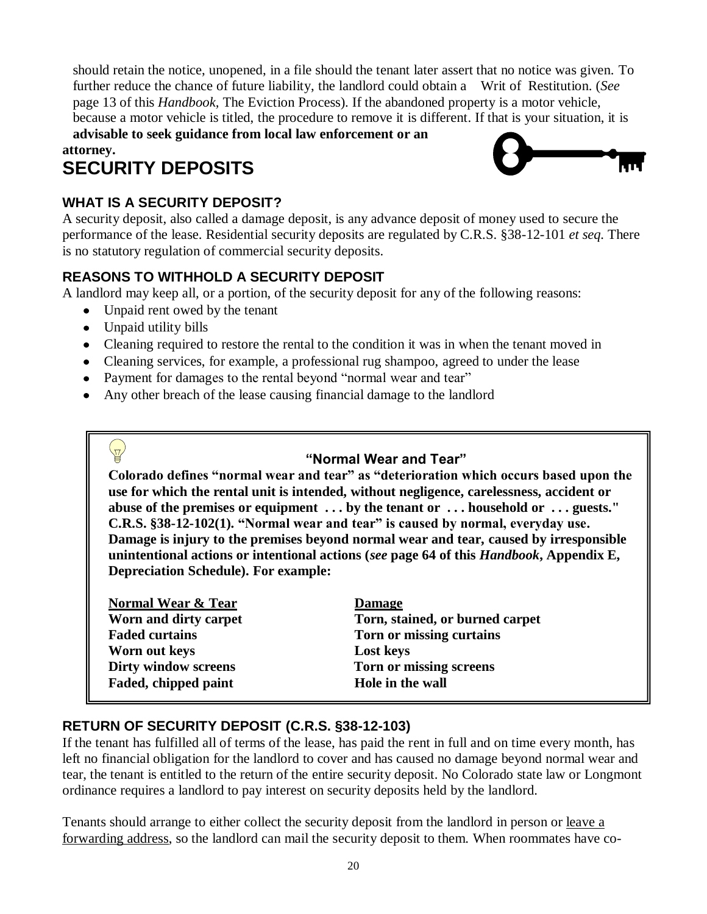should retain the notice, unopened, in a file should the tenant later assert that no notice was given. To further reduce the chance of future liability, the landlord could obtain a Writ of Restitution. (*See* page 13 of this *Handbook,* The Eviction Process). If the abandoned property is a motor vehicle, because a motor vehicle is titled, the procedure to remove it is different. If that is your situation, it is

 **advisable to seek guidance from local law enforcement or an attorney.** 

# **SECURITY DEPOSITS**

# **WHAT IS A SECURITY DEPOSIT?**



A security deposit, also called a damage deposit, is any advance deposit of money used to secure the performance of the lease. Residential security deposits are regulated by C.R.S. §38-12-101 *et seq.* There is no statutory regulation of commercial security deposits.

# **REASONS TO WITHHOLD A SECURITY DEPOSIT**

A landlord may keep all, or a portion, of the security deposit for any of the following reasons:

- Unpaid rent owed by the tenant
- Unpaid utility bills

 $\overline{\mathbb{Z}}$ 

- Cleaning required to restore the rental to the condition it was in when the tenant moved in
- Cleaning services, for example, a professional rug shampoo, agreed to under the lease
- Payment for damages to the rental beyond "normal wear and tear"
- Any other breach of the lease causing financial damage to the landlord

# **"Normal Wear and Tear"**

**Colorado defines "normal wear and tear" as "deterioration which occurs based upon the use for which the rental unit is intended, without negligence, carelessness, accident or abuse of the premises or equipment . . . by the tenant or . . . household or . . . guests." C.R.S. §38-12-102(1). "Normal wear and tear" is caused by normal, everyday use. Damage is injury to the premises beyond normal wear and tear, caused by irresponsible unintentional actions or intentional actions (***see* **page 64 of this** *Handbook***, Appendix E, Depreciation Schedule). For example:**

| <b>Damage</b>                   |
|---------------------------------|
| Torn, stained, or burned carpet |
| Torn or missing curtains        |
| <b>Lost keys</b>                |
| Torn or missing screens         |
| Hole in the wall                |
|                                 |

# **RETURN OF SECURITY DEPOSIT (C.R.S. §38-12-103)**

If the tenant has fulfilled all of terms of the lease, has paid the rent in full and on time every month, has left no financial obligation for the landlord to cover and has caused no damage beyond normal wear and tear, the tenant is entitled to the return of the entire security deposit. No Colorado state law or Longmont ordinance requires a landlord to pay interest on security deposits held by the landlord.

Tenants should arrange to either collect the security deposit from the landlord in person or leave a forwarding address, so the landlord can mail the security deposit to them. When roommates have co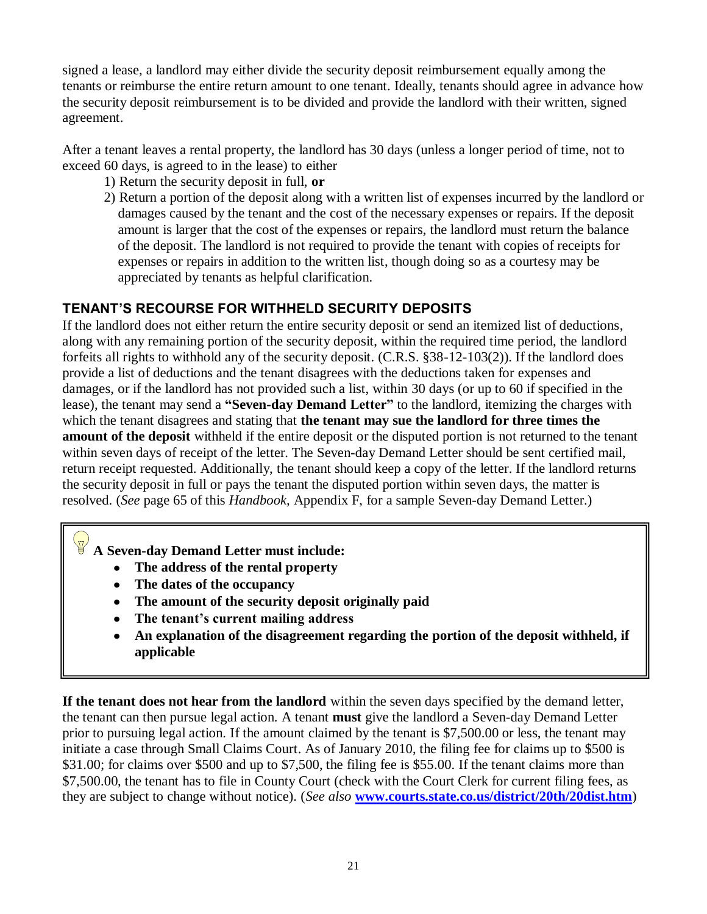signed a lease, a landlord may either divide the security deposit reimbursement equally among the tenants or reimburse the entire return amount to one tenant. Ideally, tenants should agree in advance how the security deposit reimbursement is to be divided and provide the landlord with their written, signed agreement.

After a tenant leaves a rental property, the landlord has 30 days (unless a longer period of time, not to exceed 60 days, is agreed to in the lease) to either

- 1) Return the security deposit in full, **or**
- 2) Return a portion of the deposit along with a written list of expenses incurred by the landlord or damages caused by the tenant and the cost of the necessary expenses or repairs. If the deposit amount is larger that the cost of the expenses or repairs, the landlord must return the balance of the deposit. The landlord is not required to provide the tenant with copies of receipts for expenses or repairs in addition to the written list, though doing so as a courtesy may be appreciated by tenants as helpful clarification.

# **TENANT'S RECOURSE FOR WITHHELD SECURITY DEPOSITS**

If the landlord does not either return the entire security deposit or send an itemized list of deductions, along with any remaining portion of the security deposit, within the required time period, the landlord forfeits all rights to withhold any of the security deposit. (C.R.S. §38-12-103(2)). If the landlord does provide a list of deductions and the tenant disagrees with the deductions taken for expenses and damages, or if the landlord has not provided such a list, within 30 days (or up to 60 if specified in the lease), the tenant may send a **"Seven-day Demand Letter"** to the landlord, itemizing the charges with which the tenant disagrees and stating that **the tenant may sue the landlord for three times the amount of the deposit** withheld if the entire deposit or the disputed portion is not returned to the tenant within seven days of receipt of the letter. The Seven-day Demand Letter should be sent certified mail, return receipt requested. Additionally, the tenant should keep a copy of the letter. If the landlord returns the security deposit in full or pays the tenant the disputed portion within seven days, the matter is resolved. (*See* page 65 of this *Handbook,* Appendix F, for a sample Seven-day Demand Letter.)

**A Seven-day Demand Letter must include:** 

- **The address of the rental property**
- **The dates of the occupancy**
- **The amount of the security deposit originally paid**
- **The tenant"s current mailing address**
- **An explanation of the disagreement regarding the portion of the deposit withheld, if applicable**

**If the tenant does not hear from the landlord** within the seven days specified by the demand letter, the tenant can then pursue legal action. A tenant **must** give the landlord a Seven-day Demand Letter prior to pursuing legal action. If the amount claimed by the tenant is \$7,500.00 or less, the tenant may initiate a case through Small Claims Court. As of January 2010, the filing fee for claims up to \$500 is \$31.00; for claims over \$500 and up to \$7,500, the filing fee is \$55.00. If the tenant claims more than \$7,500.00, the tenant has to file in County Court (check with the Court Clerk for current filing fees, as they are subject to change without notice). (*See also* **[www.courts.state.co.us/district/20th/20dist.htm](http://www.courts.state.co.us/district/20th/20dist.htm)**)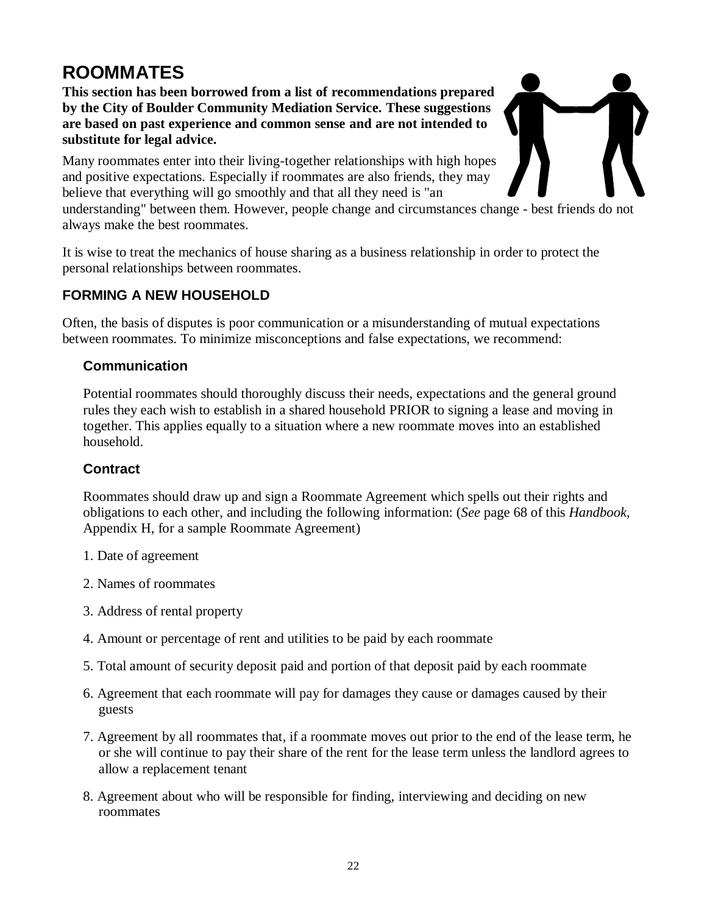# **ROOMMATES**

**This section has been borrowed from a list of recommendations prepared by the City of Boulder Community Mediation Service. These suggestions are based on past experience and common sense and are not intended to substitute for legal advice.**

Many roommates enter into their living-together relationships with high hopes and positive expectations. Especially if roommates are also friends, they may believe that everything will go smoothly and that all they need is "an

understanding" between them. However, people change and circumstances change - best friends do not always make the best roommates.

It is wise to treat the mechanics of house sharing as a business relationship in order to protect the personal relationships between roommates.

# **FORMING A NEW HOUSEHOLD**

Often, the basis of disputes is poor communication or a misunderstanding of mutual expectations between roommates. To minimize misconceptions and false expectations, we recommend:

# **Communication**

Potential roommates should thoroughly discuss their needs, expectations and the general ground rules they each wish to establish in a shared household PRIOR to signing a lease and moving in together. This applies equally to a situation where a new roommate moves into an established household.

# **Contract**

Roommates should draw up and sign a Roommate Agreement which spells out their rights and obligations to each other, and including the following information: (*See* page 68 of this *Handbook,*  Appendix H, for a sample Roommate Agreement)

- 1. Date of agreement
- 2. Names of roommates
- 3. Address of rental property
- 4. Amount or percentage of rent and utilities to be paid by each roommate
- 5. Total amount of security deposit paid and portion of that deposit paid by each roommate
- 6. Agreement that each roommate will pay for damages they cause or damages caused by their guests
- 7. Agreement by all roommates that, if a roommate moves out prior to the end of the lease term, he or she will continue to pay their share of the rent for the lease term unless the landlord agrees to allow a replacement tenant
- 8. Agreement about who will be responsible for finding, interviewing and deciding on new roommates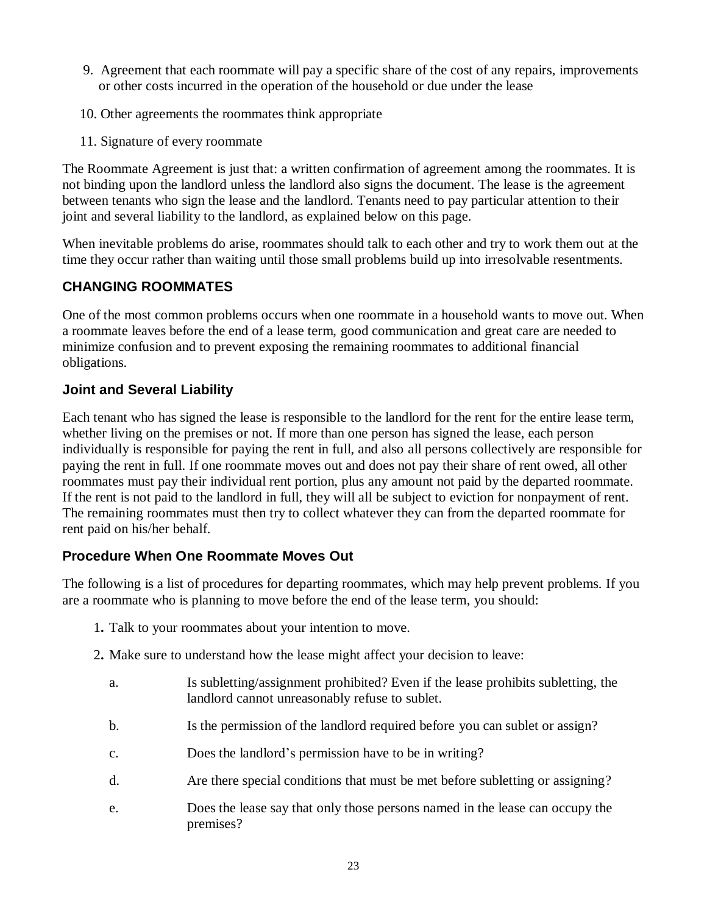- 9. Agreement that each roommate will pay a specific share of the cost of any repairs, improvements or other costs incurred in the operation of the household or due under the lease
- 10. Other agreements the roommates think appropriate
- 11. Signature of every roommate

The Roommate Agreement is just that: a written confirmation of agreement among the roommates. It is not binding upon the landlord unless the landlord also signs the document. The lease is the agreement between tenants who sign the lease and the landlord. Tenants need to pay particular attention to their joint and several liability to the landlord, as explained below on this page.

When inevitable problems do arise, roommates should talk to each other and try to work them out at the time they occur rather than waiting until those small problems build up into irresolvable resentments.

# **CHANGING ROOMMATES**

One of the most common problems occurs when one roommate in a household wants to move out. When a roommate leaves before the end of a lease term, good communication and great care are needed to minimize confusion and to prevent exposing the remaining roommates to additional financial obligations.

# **Joint and Several Liability**

Each tenant who has signed the lease is responsible to the landlord for the rent for the entire lease term, whether living on the premises or not. If more than one person has signed the lease, each person individually is responsible for paying the rent in full, and also all persons collectively are responsible for paying the rent in full. If one roommate moves out and does not pay their share of rent owed, all other roommates must pay their individual rent portion, plus any amount not paid by the departed roommate. If the rent is not paid to the landlord in full, they will all be subject to eviction for nonpayment of rent. The remaining roommates must then try to collect whatever they can from the departed roommate for rent paid on his/her behalf.

# **Procedure When One Roommate Moves Out**

The following is a list of procedures for departing roommates, which may help prevent problems. If you are a roommate who is planning to move before the end of the lease term, you should:

- 1**.** Talk to your roommates about your intention to move.
- 2**.** Make sure to understand how the lease might affect your decision to leave:
	- a. Is subletting/assignment prohibited? Even if the lease prohibits subletting, the landlord cannot unreasonably refuse to sublet.
	- b. Is the permission of the landlord required before you can sublet or assign?
	- c. Does the landlord's permission have to be in writing?
	- d. Are there special conditions that must be met before subletting or assigning?
	- e. Does the lease say that only those persons named in the lease can occupy the premises?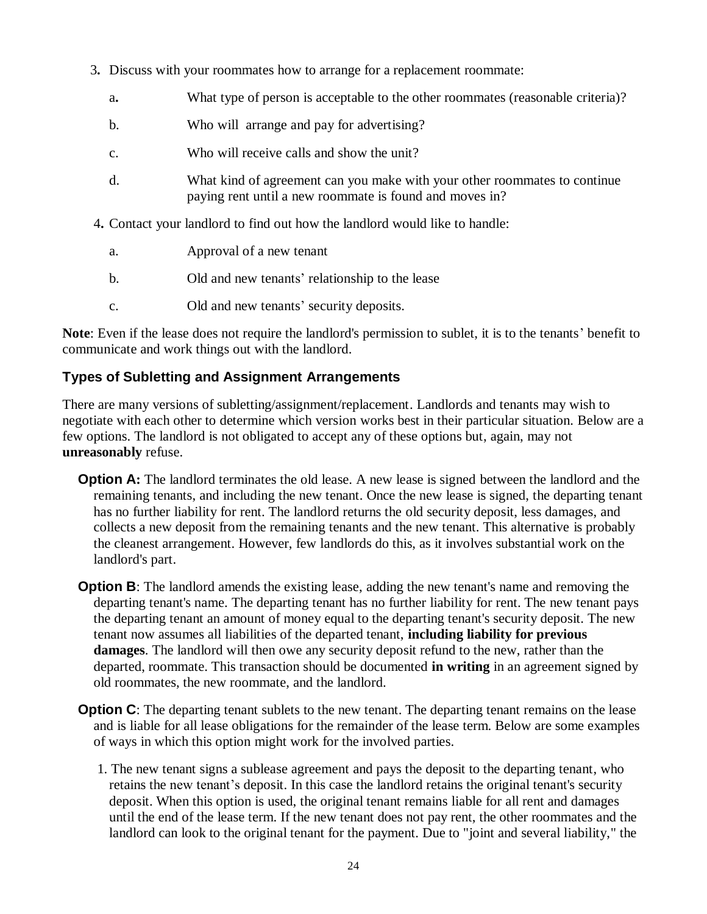- 3**.** Discuss with your roommates how to arrange for a replacement roommate:
	- a**.** What type of person is acceptable to the other roommates (reasonable criteria)?
	- b. Who will arrange and pay for advertising?
	- c. Who will receive calls and show the unit?
	- d. What kind of agreement can you make with your other roommates to continue paying rent until a new roommate is found and moves in?
- 4**.** Contact your landlord to find out how the landlord would like to handle:
	- a. Approval of a new tenant
	- b. Old and new tenants' relationship to the lease
	- c. Old and new tenants' security deposits.

**Note**: Even if the lease does not require the landlord's permission to sublet, it is to the tenants' benefit to communicate and work things out with the landlord.

#### **Types of Subletting and Assignment Arrangements**

There are many versions of subletting/assignment/replacement. Landlords and tenants may wish to negotiate with each other to determine which version works best in their particular situation. Below are a few options. The landlord is not obligated to accept any of these options but, again, may not **unreasonably** refuse.

- **Option A:** The landlord terminates the old lease. A new lease is signed between the landlord and the remaining tenants, and including the new tenant. Once the new lease is signed, the departing tenant has no further liability for rent. The landlord returns the old security deposit, less damages, and collects a new deposit from the remaining tenants and the new tenant. This alternative is probably the cleanest arrangement. However, few landlords do this, as it involves substantial work on the landlord's part.
- **Option B**: The landlord amends the existing lease, adding the new tenant's name and removing the departing tenant's name. The departing tenant has no further liability for rent. The new tenant pays the departing tenant an amount of money equal to the departing tenant's security deposit. The new tenant now assumes all liabilities of the departed tenant, **including liability for previous damages**. The landlord will then owe any security deposit refund to the new, rather than the departed, roommate. This transaction should be documented **in writing** in an agreement signed by old roommates, the new roommate, and the landlord.
- **Option C**: The departing tenant sublets to the new tenant. The departing tenant remains on the lease and is liable for all lease obligations for the remainder of the lease term. Below are some examples of ways in which this option might work for the involved parties.
	- 1. The new tenant signs a sublease agreement and pays the deposit to the departing tenant, who retains the new tenant's deposit. In this case the landlord retains the original tenant's security deposit. When this option is used, the original tenant remains liable for all rent and damages until the end of the lease term. If the new tenant does not pay rent, the other roommates and the landlord can look to the original tenant for the payment. Due to "joint and several liability," the